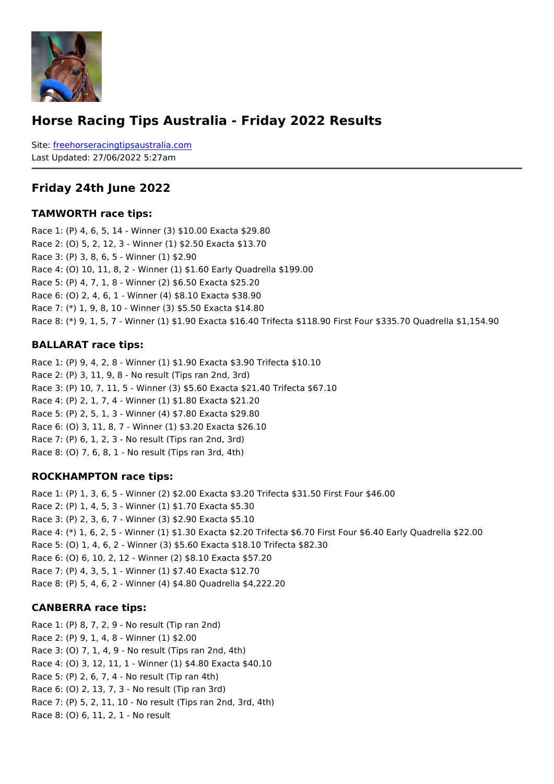### Horse Racing Tips Australia - Friday 2022 Results

Sitefreehorseracingtipsaustralia.com Last Updated: 27/06/2022 5:27am

#### Friday 24th June 2022

#### TAMWORTH race tips:

Race 1: (P) 4, 6, 5, 14 - Winner (3) \$10.00 Exacta \$29.80 Race 2: (O) 5, 2, 12, 3 - Winner (1) \$2.50 Exacta \$13.70 Race 3: (P) 3, 8, 6, 5 - Winner (1) \$2.90 Race 4: (O) 10, 11, 8, 2 - Winner (1) \$1.60 Early Quadrella \$199.00 Race 5: (P) 4, 7, 1, 8 - Winner (2) \$6.50 Exacta \$25.20 Race 6: (O) 2, 4, 6, 1 - Winner (4) \$8.10 Exacta \$38.90 Race 7: (\*) 1, 9, 8, 10 - Winner (3) \$5.50 Exacta \$14.80 Race 8: (\*) 9, 1, 5, 7 - Winner (1) \$1.90 Exacta \$16.40 Trifecta \$118.90 First Four \$33.

#### BALLARAT race tips:

```
Race 1: (P) 9, 4, 2, 8 - Winner (1) $1.90 Exacta $3.90 Trifecta $10.10
Race 2: (P) 3, 11, 9, 8 - No result (Tips ran 2nd, 3rd)
Race 3: (P) 10, 7, 11, 5 - Winner (3) $5.60 Exacta $21.40 Trifecta $67.10
Race 4: (P) 2, 1, 7, 4 - Winner (1) $1.80 Exacta $21.20
Race 5: (P) 2, 5, 1, 3 - Winner (4) $7.80 Exacta $29.80
Race 6: (O) 3, 11, 8, 7 - Winner (1) $3.20 Exacta $26.10
Race 7: (P) 6, 1, 2, 3 - No result (Tips ran 2nd, 3rd)
Race 8: (O) 7, 6, 8, 1 - No result (Tips ran 3rd, 4th)
```
#### ROCKHAMPTON race tips:

```
Race 1: (P) 1, 3, 6, 5 - Winner (2) $2.00 Exacta $3.20 Trifecta $31.50 First Four $46.00
Race 2: (P) 1, 4, 5, 3 - Winner (1) $1.70 Exacta $5.30
Race 3: (P) 2, 3, 6, 7 - Winner (3) $2.90 Exacta $5.10
Race 4: (*) 1, 6, 2, 5 - Winner (1) $1.30 Exacta $2.20 Trifecta $6.70 First Four $6.40 E
Race 5: (O) 1, 4, 6, 2 - Winner (3) $5.60 Exacta $18.10 Trifecta $82.30
Race 6: (O) 6, 10, 2, 12 - Winner (2) $8.10 Exacta $57.20
Race 7: (P) 4, 3, 5, 1 - Winner (1) $7.40 Exacta $12.70
Race 8: (P) 5, 4, 6, 2 - Winner (4) $4.80 Quadrella $4,222.20
```
#### CANBERRA race tips:

```
Race 1: (P) 8, 7, 2, 9 - No result (Tip ran 2nd)
Race 2: (P) 9, 1, 4, 8 - Winner (1) $2.00
Race 3: (O) 7, 1, 4, 9 - No result (Tips ran 2nd, 4th)
Race 4: (O) 3, 12, 11, 1 - Winner (1) $4.80 Exacta $40.10
Race 5: (P) 2, 6, 7, 4 - No result (Tip ran 4th)
Race 6: (O) 2, 13, 7, 3 - No result (Tip ran 3rd)
Race 7: (P) 5, 2, 11, 10 - No result (Tips ran 2nd, 3rd, 4th)
Race 8: (O) 6, 11, 2, 1 - No result
```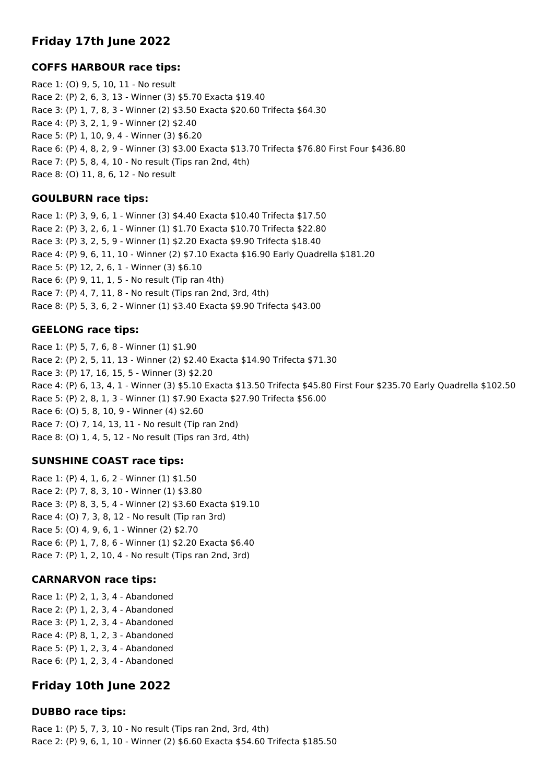# **Friday 17th June 2022**

# **COFFS HARBOUR race tips:**

Race 1: (O) 9, 5, 10, 11 - No result Race 2: (P) 2, 6, 3, 13 - Winner (3) \$5.70 Exacta \$19.40 Race 3: (P) 1, 7, 8, 3 - Winner (2) \$3.50 Exacta \$20.60 Trifecta \$64.30 Race 4: (P) 3, 2, 1, 9 - Winner (2) \$2.40 Race 5: (P) 1, 10, 9, 4 - Winner (3) \$6.20 Race 6: (P) 4, 8, 2, 9 - Winner (3) \$3.00 Exacta \$13.70 Trifecta \$76.80 First Four \$436.80 Race 7: (P) 5, 8, 4, 10 - No result (Tips ran 2nd, 4th) Race 8: (O) 11, 8, 6, 12 - No result

## **GOULBURN race tips:**

Race 1: (P) 3, 9, 6, 1 - Winner (3) \$4.40 Exacta \$10.40 Trifecta \$17.50 Race 2: (P) 3, 2, 6, 1 - Winner (1) \$1.70 Exacta \$10.70 Trifecta \$22.80 Race 3: (P) 3, 2, 5, 9 - Winner (1) \$2.20 Exacta \$9.90 Trifecta \$18.40 Race 4: (P) 9, 6, 11, 10 - Winner (2) \$7.10 Exacta \$16.90 Early Quadrella \$181.20 Race 5: (P) 12, 2, 6, 1 - Winner (3) \$6.10 Race 6: (P) 9, 11, 1, 5 - No result (Tip ran 4th) Race 7: (P) 4, 7, 11, 8 - No result (Tips ran 2nd, 3rd, 4th) Race 8: (P) 5, 3, 6, 2 - Winner (1) \$3.40 Exacta \$9.90 Trifecta \$43.00

## **GEELONG race tips:**

Race 1: (P) 5, 7, 6, 8 - Winner (1) \$1.90 Race 2: (P) 2, 5, 11, 13 - Winner (2) \$2.40 Exacta \$14.90 Trifecta \$71.30 Race 3: (P) 17, 16, 15, 5 - Winner (3) \$2.20 Race 4: (P) 6, 13, 4, 1 - Winner (3) \$5.10 Exacta \$13.50 Trifecta \$45.80 First Four \$235.70 Early Quadrella \$102.50 Race 5: (P) 2, 8, 1, 3 - Winner (1) \$7.90 Exacta \$27.90 Trifecta \$56.00 Race 6: (O) 5, 8, 10, 9 - Winner (4) \$2.60 Race 7: (O) 7, 14, 13, 11 - No result (Tip ran 2nd) Race 8: (O) 1, 4, 5, 12 - No result (Tips ran 3rd, 4th)

# **SUNSHINE COAST race tips:**

Race 1: (P) 4, 1, 6, 2 - Winner (1) \$1.50 Race 2: (P) 7, 8, 3, 10 - Winner (1) \$3.80 Race 3: (P) 8, 3, 5, 4 - Winner (2) \$3.60 Exacta \$19.10 Race 4: (O) 7, 3, 8, 12 - No result (Tip ran 3rd) Race 5: (O) 4, 9, 6, 1 - Winner (2) \$2.70 Race 6: (P) 1, 7, 8, 6 - Winner (1) \$2.20 Exacta \$6.40 Race 7: (P) 1, 2, 10, 4 - No result (Tips ran 2nd, 3rd)

# **CARNARVON race tips:**

Race 1: (P) 2, 1, 3, 4 - Abandoned Race 2: (P) 1, 2, 3, 4 - Abandoned Race 3: (P) 1, 2, 3, 4 - Abandoned Race 4: (P) 8, 1, 2, 3 - Abandoned Race 5: (P) 1, 2, 3, 4 - Abandoned Race 6: (P) 1, 2, 3, 4 - Abandoned

# **Friday 10th June 2022**

## **DUBBO race tips:**

Race 1: (P) 5, 7, 3, 10 - No result (Tips ran 2nd, 3rd, 4th) Race 2: (P) 9, 6, 1, 10 - Winner (2) \$6.60 Exacta \$54.60 Trifecta \$185.50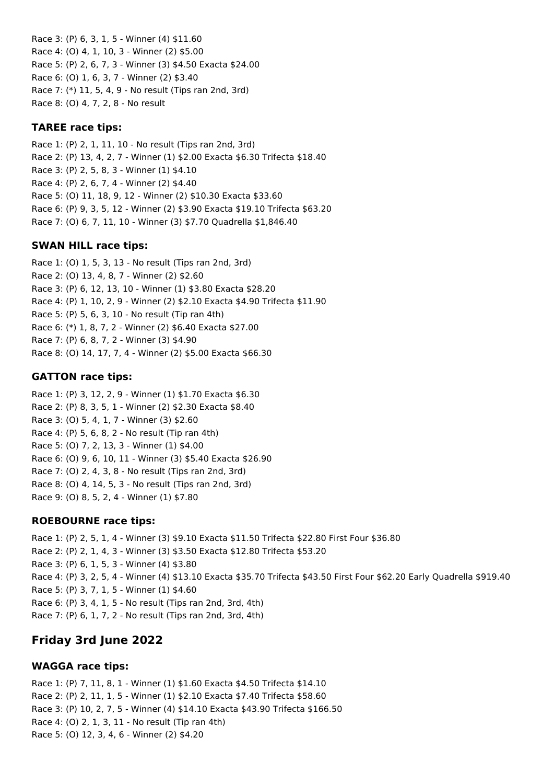Race 3: (P) 6, 3, 1, 5 - Winner (4) \$11.60 Race 4: (O) 4, 1, 10, 3 - Winner (2) \$5.00 Race 5: (P) 2, 6, 7, 3 - Winner (3) \$4.50 Exacta \$24.00 Race 6: (O) 1, 6, 3, 7 - Winner (2) \$3.40 Race 7: (\*) 11, 5, 4, 9 - No result (Tips ran 2nd, 3rd) Race 8: (O) 4, 7, 2, 8 - No result

## **TAREE race tips:**

Race 1: (P) 2, 1, 11, 10 - No result (Tips ran 2nd, 3rd) Race 2: (P) 13, 4, 2, 7 - Winner (1) \$2.00 Exacta \$6.30 Trifecta \$18.40 Race 3: (P) 2, 5, 8, 3 - Winner (1) \$4.10 Race 4: (P) 2, 6, 7, 4 - Winner (2) \$4.40 Race 5: (O) 11, 18, 9, 12 - Winner (2) \$10.30 Exacta \$33.60 Race 6: (P) 9, 3, 5, 12 - Winner (2) \$3.90 Exacta \$19.10 Trifecta \$63.20 Race 7: (O) 6, 7, 11, 10 - Winner (3) \$7.70 Quadrella \$1,846.40

### **SWAN HILL race tips:**

Race 1: (O) 1, 5, 3, 13 - No result (Tips ran 2nd, 3rd) Race 2: (O) 13, 4, 8, 7 - Winner (2) \$2.60 Race 3: (P) 6, 12, 13, 10 - Winner (1) \$3.80 Exacta \$28.20 Race 4: (P) 1, 10, 2, 9 - Winner (2) \$2.10 Exacta \$4.90 Trifecta \$11.90 Race 5: (P) 5, 6, 3, 10 - No result (Tip ran 4th) Race 6: (\*) 1, 8, 7, 2 - Winner (2) \$6.40 Exacta \$27.00 Race 7: (P) 6, 8, 7, 2 - Winner (3) \$4.90 Race 8: (O) 14, 17, 7, 4 - Winner (2) \$5.00 Exacta \$66.30

### **GATTON race tips:**

Race 1: (P) 3, 12, 2, 9 - Winner (1) \$1.70 Exacta \$6.30 Race 2: (P) 8, 3, 5, 1 - Winner (2) \$2.30 Exacta \$8.40 Race 3: (O) 5, 4, 1, 7 - Winner (3) \$2.60 Race 4: (P) 5, 6, 8, 2 - No result (Tip ran 4th) Race 5: (O) 7, 2, 13, 3 - Winner (1) \$4.00 Race 6: (O) 9, 6, 10, 11 - Winner (3) \$5.40 Exacta \$26.90 Race 7: (O) 2, 4, 3, 8 - No result (Tips ran 2nd, 3rd) Race 8: (O) 4, 14, 5, 3 - No result (Tips ran 2nd, 3rd) Race 9: (O) 8, 5, 2, 4 - Winner (1) \$7.80

## **ROEBOURNE race tips:**

Race 1: (P) 2, 5, 1, 4 - Winner (3) \$9.10 Exacta \$11.50 Trifecta \$22.80 First Four \$36.80 Race 2: (P) 2, 1, 4, 3 - Winner (3) \$3.50 Exacta \$12.80 Trifecta \$53.20 Race 3: (P) 6, 1, 5, 3 - Winner (4) \$3.80 Race 4: (P) 3, 2, 5, 4 - Winner (4) \$13.10 Exacta \$35.70 Trifecta \$43.50 First Four \$62.20 Early Quadrella \$919.40 Race 5: (P) 3, 7, 1, 5 - Winner (1) \$4.60 Race 6: (P) 3, 4, 1, 5 - No result (Tips ran 2nd, 3rd, 4th) Race 7: (P) 6, 1, 7, 2 - No result (Tips ran 2nd, 3rd, 4th)

# **Friday 3rd June 2022**

## **WAGGA race tips:**

Race 1: (P) 7, 11, 8, 1 - Winner (1) \$1.60 Exacta \$4.50 Trifecta \$14.10 Race 2: (P) 2, 11, 1, 5 - Winner (1) \$2.10 Exacta \$7.40 Trifecta \$58.60 Race 3: (P) 10, 2, 7, 5 - Winner (4) \$14.10 Exacta \$43.90 Trifecta \$166.50 Race 4: (O) 2, 1, 3, 11 - No result (Tip ran 4th) Race 5: (O) 12, 3, 4, 6 - Winner (2) \$4.20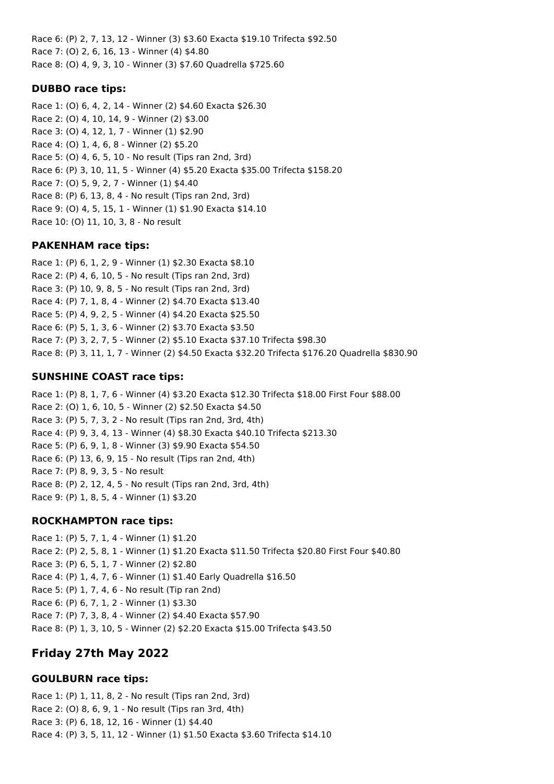Race 6: (P) 2, 7, 13, 12 - Winner (3) \$3.60 Exacta \$19.10 Trifecta \$92.50 Race 7: (O) 2, 6, 16, 13 - Winner (4) \$4.80 Race 8: (O) 4, 9, 3, 10 - Winner (3) \$7.60 Quadrella \$725.60

## **DUBBO race tips:**

Race 1: (O) 6, 4, 2, 14 - Winner (2) \$4.60 Exacta \$26.30 Race 2: (O) 4, 10, 14, 9 - Winner (2) \$3.00 Race 3: (O) 4, 12, 1, 7 - Winner (1) \$2.90 Race 4: (O) 1, 4, 6, 8 - Winner (2) \$5.20 Race 5: (O) 4, 6, 5, 10 - No result (Tips ran 2nd, 3rd) Race 6: (P) 3, 10, 11, 5 - Winner (4) \$5.20 Exacta \$35.00 Trifecta \$158.20 Race 7: (O) 5, 9, 2, 7 - Winner (1) \$4.40 Race 8: (P) 6, 13, 8, 4 - No result (Tips ran 2nd, 3rd) Race 9: (O) 4, 5, 15, 1 - Winner (1) \$1.90 Exacta \$14.10 Race 10: (O) 11, 10, 3, 8 - No result

## **PAKENHAM race tips:**

Race 1: (P) 6, 1, 2, 9 - Winner (1) \$2.30 Exacta \$8.10 Race 2: (P) 4, 6, 10, 5 - No result (Tips ran 2nd, 3rd) Race 3: (P) 10, 9, 8, 5 - No result (Tips ran 2nd, 3rd) Race 4: (P) 7, 1, 8, 4 - Winner (2) \$4.70 Exacta \$13.40 Race 5: (P) 4, 9, 2, 5 - Winner (4) \$4.20 Exacta \$25.50 Race 6: (P) 5, 1, 3, 6 - Winner (2) \$3.70 Exacta \$3.50 Race 7: (P) 3, 2, 7, 5 - Winner (2) \$5.10 Exacta \$37.10 Trifecta \$98.30 Race 8: (P) 3, 11, 1, 7 - Winner (2) \$4.50 Exacta \$32.20 Trifecta \$176.20 Quadrella \$830.90

# **SUNSHINE COAST race tips:**

Race 1: (P) 8, 1, 7, 6 - Winner (4) \$3.20 Exacta \$12.30 Trifecta \$18.00 First Four \$88.00 Race 2: (O) 1, 6, 10, 5 - Winner (2) \$2.50 Exacta \$4.50 Race 3: (P) 5, 7, 3, 2 - No result (Tips ran 2nd, 3rd, 4th) Race 4: (P) 9, 3, 4, 13 - Winner (4) \$8.30 Exacta \$40.10 Trifecta \$213.30 Race 5: (P) 6, 9, 1, 8 - Winner (3) \$9.90 Exacta \$54.50 Race 6: (P) 13, 6, 9, 15 - No result (Tips ran 2nd, 4th) Race 7: (P) 8, 9, 3, 5 - No result Race 8: (P) 2, 12, 4, 5 - No result (Tips ran 2nd, 3rd, 4th) Race 9: (P) 1, 8, 5, 4 - Winner (1) \$3.20

# **ROCKHAMPTON race tips:**

Race 1: (P) 5, 7, 1, 4 - Winner (1) \$1.20 Race 2: (P) 2, 5, 8, 1 - Winner (1) \$1.20 Exacta \$11.50 Trifecta \$20.80 First Four \$40.80 Race 3: (P) 6, 5, 1, 7 - Winner (2) \$2.80 Race 4: (P) 1, 4, 7, 6 - Winner (1) \$1.40 Early Quadrella \$16.50 Race 5: (P) 1, 7, 4, 6 - No result (Tip ran 2nd) Race 6: (P) 6, 7, 1, 2 - Winner (1) \$3.30 Race 7: (P) 7, 3, 8, 4 - Winner (2) \$4.40 Exacta \$57.90 Race 8: (P) 1, 3, 10, 5 - Winner (2) \$2.20 Exacta \$15.00 Trifecta \$43.50

# **Friday 27th May 2022**

# **GOULBURN race tips:**

Race 1: (P) 1, 11, 8, 2 - No result (Tips ran 2nd, 3rd) Race 2: (O) 8, 6, 9, 1 - No result (Tips ran 3rd, 4th) Race 3: (P) 6, 18, 12, 16 - Winner (1) \$4.40 Race 4: (P) 3, 5, 11, 12 - Winner (1) \$1.50 Exacta \$3.60 Trifecta \$14.10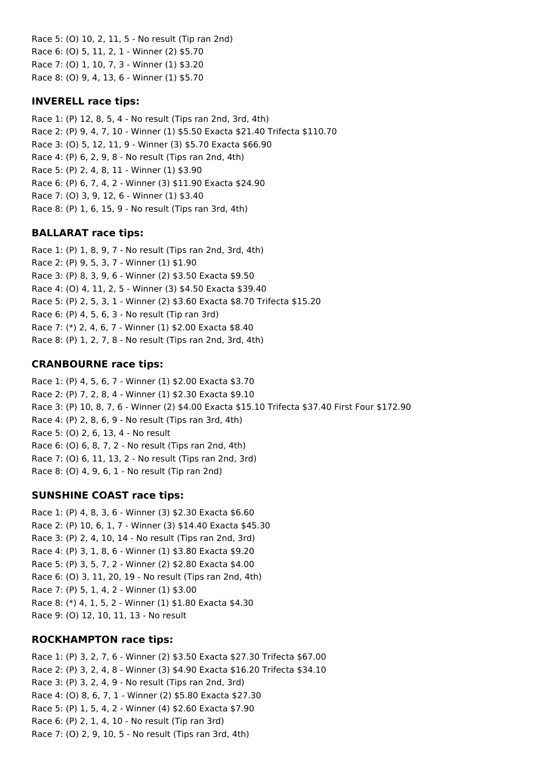Race 5: (O) 10, 2, 11, 5 - No result (Tip ran 2nd) Race 6: (O) 5, 11, 2, 1 - Winner (2) \$5.70 Race 7: (O) 1, 10, 7, 3 - Winner (1) \$3.20 Race 8: (O) 9, 4, 13, 6 - Winner (1) \$5.70

## **INVERELL race tips:**

Race 1: (P) 12, 8, 5, 4 - No result (Tips ran 2nd, 3rd, 4th) Race 2: (P) 9, 4, 7, 10 - Winner (1) \$5.50 Exacta \$21.40 Trifecta \$110.70 Race 3: (O) 5, 12, 11, 9 - Winner (3) \$5.70 Exacta \$66.90 Race 4: (P) 6, 2, 9, 8 - No result (Tips ran 2nd, 4th) Race 5: (P) 2, 4, 8, 11 - Winner (1) \$3.90 Race 6: (P) 6, 7, 4, 2 - Winner (3) \$11.90 Exacta \$24.90 Race 7: (O) 3, 9, 12, 6 - Winner (1) \$3.40 Race 8: (P) 1, 6, 15, 9 - No result (Tips ran 3rd, 4th)

### **BALLARAT race tips:**

Race 1: (P) 1, 8, 9, 7 - No result (Tips ran 2nd, 3rd, 4th) Race 2: (P) 9, 5, 3, 7 - Winner (1) \$1.90 Race 3: (P) 8, 3, 9, 6 - Winner (2) \$3.50 Exacta \$9.50 Race 4: (O) 4, 11, 2, 5 - Winner (3) \$4.50 Exacta \$39.40 Race 5: (P) 2, 5, 3, 1 - Winner (2) \$3.60 Exacta \$8.70 Trifecta \$15.20 Race 6: (P) 4, 5, 6, 3 - No result (Tip ran 3rd) Race 7: (\*) 2, 4, 6, 7 - Winner (1) \$2.00 Exacta \$8.40 Race 8: (P) 1, 2, 7, 8 - No result (Tips ran 2nd, 3rd, 4th)

## **CRANBOURNE race tips:**

Race 1: (P) 4, 5, 6, 7 - Winner (1) \$2.00 Exacta \$3.70 Race 2: (P) 7, 2, 8, 4 - Winner (1) \$2.30 Exacta \$9.10 Race 3: (P) 10, 8, 7, 6 - Winner (2) \$4.00 Exacta \$15.10 Trifecta \$37.40 First Four \$172.90 Race 4: (P) 2, 8, 6, 9 - No result (Tips ran 3rd, 4th) Race 5: (O) 2, 6, 13, 4 - No result Race 6: (O) 6, 8, 7, 2 - No result (Tips ran 2nd, 4th) Race 7: (O) 6, 11, 13, 2 - No result (Tips ran 2nd, 3rd) Race 8: (O) 4, 9, 6, 1 - No result (Tip ran 2nd)

## **SUNSHINE COAST race tips:**

Race 1: (P) 4, 8, 3, 6 - Winner (3) \$2.30 Exacta \$6.60 Race 2: (P) 10, 6, 1, 7 - Winner (3) \$14.40 Exacta \$45.30 Race 3: (P) 2, 4, 10, 14 - No result (Tips ran 2nd, 3rd) Race 4: (P) 3, 1, 8, 6 - Winner (1) \$3.80 Exacta \$9.20 Race 5: (P) 3, 5, 7, 2 - Winner (2) \$2.80 Exacta \$4.00 Race 6: (O) 3, 11, 20, 19 - No result (Tips ran 2nd, 4th) Race 7: (P) 5, 1, 4, 2 - Winner (1) \$3.00 Race 8: (\*) 4, 1, 5, 2 - Winner (1) \$1.80 Exacta \$4.30 Race 9: (O) 12, 10, 11, 13 - No result

### **ROCKHAMPTON race tips:**

Race 1: (P) 3, 2, 7, 6 - Winner (2) \$3.50 Exacta \$27.30 Trifecta \$67.00 Race 2: (P) 3, 2, 4, 8 - Winner (3) \$4.90 Exacta \$16.20 Trifecta \$34.10 Race 3: (P) 3, 2, 4, 9 - No result (Tips ran 2nd, 3rd) Race 4: (O) 8, 6, 7, 1 - Winner (2) \$5.80 Exacta \$27.30 Race 5: (P) 1, 5, 4, 2 - Winner (4) \$2.60 Exacta \$7.90 Race 6: (P) 2, 1, 4, 10 - No result (Tip ran 3rd) Race 7: (O) 2, 9, 10, 5 - No result (Tips ran 3rd, 4th)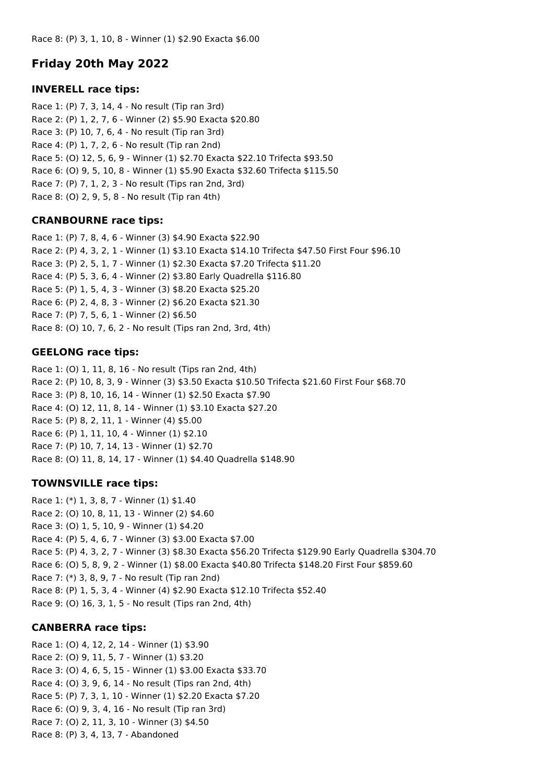# **Friday 20th May 2022**

### **INVERELL race tips:**

Race 1: (P) 7, 3, 14, 4 - No result (Tip ran 3rd) Race 2: (P) 1, 2, 7, 6 - Winner (2) \$5.90 Exacta \$20.80 Race 3: (P) 10, 7, 6, 4 - No result (Tip ran 3rd) Race 4: (P) 1, 7, 2, 6 - No result (Tip ran 2nd) Race 5: (O) 12, 5, 6, 9 - Winner (1) \$2.70 Exacta \$22.10 Trifecta \$93.50 Race 6: (O) 9, 5, 10, 8 - Winner (1) \$5.90 Exacta \$32.60 Trifecta \$115.50 Race 7: (P) 7, 1, 2, 3 - No result (Tips ran 2nd, 3rd) Race 8: (O) 2, 9, 5, 8 - No result (Tip ran 4th)

## **CRANBOURNE race tips:**

Race 1: (P) 7, 8, 4, 6 - Winner (3) \$4.90 Exacta \$22.90 Race 2: (P) 4, 3, 2, 1 - Winner (1) \$3.10 Exacta \$14.10 Trifecta \$47.50 First Four \$96.10 Race 3: (P) 2, 5, 1, 7 - Winner (1) \$2.30 Exacta \$7.20 Trifecta \$11.20 Race 4: (P) 5, 3, 6, 4 - Winner (2) \$3.80 Early Quadrella \$116.80 Race 5: (P) 1, 5, 4, 3 - Winner (3) \$8.20 Exacta \$25.20 Race 6: (P) 2, 4, 8, 3 - Winner (2) \$6.20 Exacta \$21.30 Race 7: (P) 7, 5, 6, 1 - Winner (2) \$6.50 Race 8: (O) 10, 7, 6, 2 - No result (Tips ran 2nd, 3rd, 4th)

## **GEELONG race tips:**

Race 1: (O) 1, 11, 8, 16 - No result (Tips ran 2nd, 4th) Race 2: (P) 10, 8, 3, 9 - Winner (3) \$3.50 Exacta \$10.50 Trifecta \$21.60 First Four \$68.70 Race 3: (P) 8, 10, 16, 14 - Winner (1) \$2.50 Exacta \$7.90 Race 4: (O) 12, 11, 8, 14 - Winner (1) \$3.10 Exacta \$27.20 Race 5: (P) 8, 2, 11, 1 - Winner (4) \$5.00 Race 6: (P) 1, 11, 10, 4 - Winner (1) \$2.10 Race 7: (P) 10, 7, 14, 13 - Winner (1) \$2.70 Race 8: (O) 11, 8, 14, 17 - Winner (1) \$4.40 Quadrella \$148.90

## **TOWNSVILLE race tips:**

Race 1: (\*) 1, 3, 8, 7 - Winner (1) \$1.40 Race 2: (O) 10, 8, 11, 13 - Winner (2) \$4.60 Race 3: (O) 1, 5, 10, 9 - Winner (1) \$4.20 Race 4: (P) 5, 4, 6, 7 - Winner (3) \$3.00 Exacta \$7.00 Race 5: (P) 4, 3, 2, 7 - Winner (3) \$8.30 Exacta \$56.20 Trifecta \$129.90 Early Quadrella \$304.70 Race 6: (O) 5, 8, 9, 2 - Winner (1) \$8.00 Exacta \$40.80 Trifecta \$148.20 First Four \$859.60 Race 7: (\*) 3, 8, 9, 7 - No result (Tip ran 2nd) Race 8: (P) 1, 5, 3, 4 - Winner (4) \$2.90 Exacta \$12.10 Trifecta \$52.40 Race 9: (O) 16, 3, 1, 5 - No result (Tips ran 2nd, 4th)

## **CANBERRA race tips:**

Race 1: (O) 4, 12, 2, 14 - Winner (1) \$3.90 Race 2: (O) 9, 11, 5, 7 - Winner (1) \$3.20 Race 3: (O) 4, 6, 5, 15 - Winner (1) \$3.00 Exacta \$33.70 Race 4: (O) 3, 9, 6, 14 - No result (Tips ran 2nd, 4th) Race 5: (P) 7, 3, 1, 10 - Winner (1) \$2.20 Exacta \$7.20 Race 6: (O) 9, 3, 4, 16 - No result (Tip ran 3rd) Race 7: (O) 2, 11, 3, 10 - Winner (3) \$4.50 Race 8: (P) 3, 4, 13, 7 - Abandoned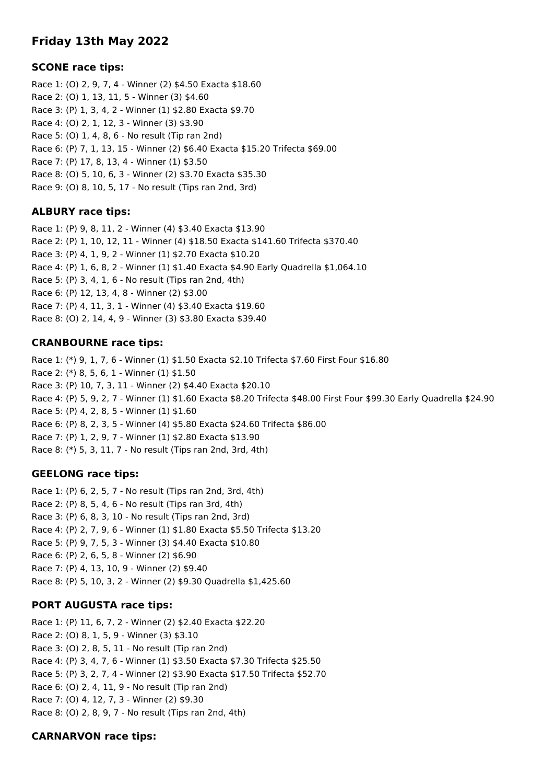# **Friday 13th May 2022**

## **SCONE race tips:**

Race 1: (O) 2, 9, 7, 4 - Winner (2) \$4.50 Exacta \$18.60 Race 2: (O) 1, 13, 11, 5 - Winner (3) \$4.60 Race 3: (P) 1, 3, 4, 2 - Winner (1) \$2.80 Exacta \$9.70 Race 4: (O) 2, 1, 12, 3 - Winner (3) \$3.90 Race 5: (O) 1, 4, 8, 6 - No result (Tip ran 2nd) Race 6: (P) 7, 1, 13, 15 - Winner (2) \$6.40 Exacta \$15.20 Trifecta \$69.00 Race 7: (P) 17, 8, 13, 4 - Winner (1) \$3.50 Race 8: (O) 5, 10, 6, 3 - Winner (2) \$3.70 Exacta \$35.30 Race 9: (O) 8, 10, 5, 17 - No result (Tips ran 2nd, 3rd)

### **ALBURY race tips:**

Race 1: (P) 9, 8, 11, 2 - Winner (4) \$3.40 Exacta \$13.90 Race 2: (P) 1, 10, 12, 11 - Winner (4) \$18.50 Exacta \$141.60 Trifecta \$370.40 Race 3: (P) 4, 1, 9, 2 - Winner (1) \$2.70 Exacta \$10.20 Race 4: (P) 1, 6, 8, 2 - Winner (1) \$1.40 Exacta \$4.90 Early Quadrella \$1,064.10 Race 5: (P) 3, 4, 1, 6 - No result (Tips ran 2nd, 4th) Race 6: (P) 12, 13, 4, 8 - Winner (2) \$3.00 Race 7: (P) 4, 11, 3, 1 - Winner (4) \$3.40 Exacta \$19.60 Race 8: (O) 2, 14, 4, 9 - Winner (3) \$3.80 Exacta \$39.40

### **CRANBOURNE race tips:**

Race 1: (\*) 9, 1, 7, 6 - Winner (1) \$1.50 Exacta \$2.10 Trifecta \$7.60 First Four \$16.80 Race 2: (\*) 8, 5, 6, 1 - Winner (1) \$1.50 Race 3: (P) 10, 7, 3, 11 - Winner (2) \$4.40 Exacta \$20.10 Race 4: (P) 5, 9, 2, 7 - Winner (1) \$1.60 Exacta \$8.20 Trifecta \$48.00 First Four \$99.30 Early Quadrella \$24.90 Race 5: (P) 4, 2, 8, 5 - Winner (1) \$1.60 Race 6: (P) 8, 2, 3, 5 - Winner (4) \$5.80 Exacta \$24.60 Trifecta \$86.00 Race 7: (P) 1, 2, 9, 7 - Winner (1) \$2.80 Exacta \$13.90 Race 8: (\*) 5, 3, 11, 7 - No result (Tips ran 2nd, 3rd, 4th)

## **GEELONG race tips:**

Race 1: (P) 6, 2, 5, 7 - No result (Tips ran 2nd, 3rd, 4th) Race 2: (P) 8, 5, 4, 6 - No result (Tips ran 3rd, 4th) Race 3: (P) 6, 8, 3, 10 - No result (Tips ran 2nd, 3rd) Race 4: (P) 2, 7, 9, 6 - Winner (1) \$1.80 Exacta \$5.50 Trifecta \$13.20 Race 5: (P) 9, 7, 5, 3 - Winner (3) \$4.40 Exacta \$10.80 Race 6: (P) 2, 6, 5, 8 - Winner (2) \$6.90 Race 7: (P) 4, 13, 10, 9 - Winner (2) \$9.40 Race 8: (P) 5, 10, 3, 2 - Winner (2) \$9.30 Quadrella \$1,425.60

## **PORT AUGUSTA race tips:**

Race 1: (P) 11, 6, 7, 2 - Winner (2) \$2.40 Exacta \$22.20 Race 2: (O) 8, 1, 5, 9 - Winner (3) \$3.10 Race 3: (O) 2, 8, 5, 11 - No result (Tip ran 2nd) Race 4: (P) 3, 4, 7, 6 - Winner (1) \$3.50 Exacta \$7.30 Trifecta \$25.50 Race 5: (P) 3, 2, 7, 4 - Winner (2) \$3.90 Exacta \$17.50 Trifecta \$52.70 Race 6: (O) 2, 4, 11, 9 - No result (Tip ran 2nd) Race 7: (O) 4, 12, 7, 3 - Winner (2) \$9.30 Race 8: (O) 2, 8, 9, 7 - No result (Tips ran 2nd, 4th)

### **CARNARVON race tips:**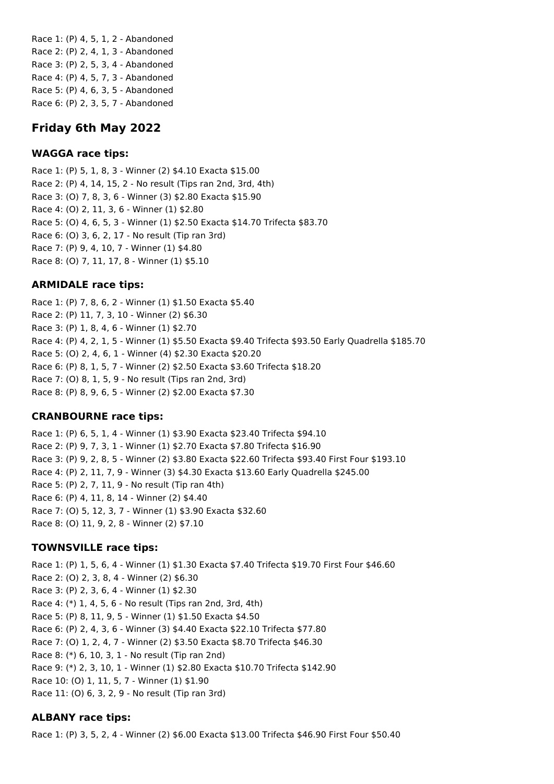Race 1: (P) 4, 5, 1, 2 - Abandoned Race 2: (P) 2, 4, 1, 3 - Abandoned Race 3: (P) 2, 5, 3, 4 - Abandoned Race 4: (P) 4, 5, 7, 3 - Abandoned Race 5: (P) 4, 6, 3, 5 - Abandoned Race 6: (P) 2, 3, 5, 7 - Abandoned

# **Friday 6th May 2022**

## **WAGGA race tips:**

Race 1: (P) 5, 1, 8, 3 - Winner (2) \$4.10 Exacta \$15.00 Race 2: (P) 4, 14, 15, 2 - No result (Tips ran 2nd, 3rd, 4th) Race 3: (O) 7, 8, 3, 6 - Winner (3) \$2.80 Exacta \$15.90 Race 4: (O) 2, 11, 3, 6 - Winner (1) \$2.80 Race 5: (O) 4, 6, 5, 3 - Winner (1) \$2.50 Exacta \$14.70 Trifecta \$83.70 Race 6: (O) 3, 6, 2, 17 - No result (Tip ran 3rd) Race 7: (P) 9, 4, 10, 7 - Winner (1) \$4.80 Race 8: (O) 7, 11, 17, 8 - Winner (1) \$5.10

## **ARMIDALE race tips:**

Race 1: (P) 7, 8, 6, 2 - Winner (1) \$1.50 Exacta \$5.40 Race 2: (P) 11, 7, 3, 10 - Winner (2) \$6.30 Race 3: (P) 1, 8, 4, 6 - Winner (1) \$2.70 Race 4: (P) 4, 2, 1, 5 - Winner (1) \$5.50 Exacta \$9.40 Trifecta \$93.50 Early Quadrella \$185.70 Race 5: (O) 2, 4, 6, 1 - Winner (4) \$2.30 Exacta \$20.20 Race 6: (P) 8, 1, 5, 7 - Winner (2) \$2.50 Exacta \$3.60 Trifecta \$18.20 Race 7: (O) 8, 1, 5, 9 - No result (Tips ran 2nd, 3rd) Race 8: (P) 8, 9, 6, 5 - Winner (2) \$2.00 Exacta \$7.30

## **CRANBOURNE race tips:**

Race 1: (P) 6, 5, 1, 4 - Winner (1) \$3.90 Exacta \$23.40 Trifecta \$94.10 Race 2: (P) 9, 7, 3, 1 - Winner (1) \$2.70 Exacta \$7.80 Trifecta \$16.90 Race 3: (P) 9, 2, 8, 5 - Winner (2) \$3.80 Exacta \$22.60 Trifecta \$93.40 First Four \$193.10 Race 4: (P) 2, 11, 7, 9 - Winner (3) \$4.30 Exacta \$13.60 Early Quadrella \$245.00 Race 5: (P) 2, 7, 11, 9 - No result (Tip ran 4th) Race 6: (P) 4, 11, 8, 14 - Winner (2) \$4.40 Race 7: (O) 5, 12, 3, 7 - Winner (1) \$3.90 Exacta \$32.60 Race 8: (O) 11, 9, 2, 8 - Winner (2) \$7.10

## **TOWNSVILLE race tips:**

Race 1: (P) 1, 5, 6, 4 - Winner (1) \$1.30 Exacta \$7.40 Trifecta \$19.70 First Four \$46.60 Race 2: (O) 2, 3, 8, 4 - Winner (2) \$6.30 Race 3: (P) 2, 3, 6, 4 - Winner (1) \$2.30 Race 4: (\*) 1, 4, 5, 6 - No result (Tips ran 2nd, 3rd, 4th) Race 5: (P) 8, 11, 9, 5 - Winner (1) \$1.50 Exacta \$4.50 Race 6: (P) 2, 4, 3, 6 - Winner (3) \$4.40 Exacta \$22.10 Trifecta \$77.80 Race 7: (O) 1, 2, 4, 7 - Winner (2) \$3.50 Exacta \$8.70 Trifecta \$46.30 Race 8: (\*) 6, 10, 3, 1 - No result (Tip ran 2nd) Race 9: (\*) 2, 3, 10, 1 - Winner (1) \$2.80 Exacta \$10.70 Trifecta \$142.90 Race 10: (O) 1, 11, 5, 7 - Winner (1) \$1.90 Race 11: (O) 6, 3, 2, 9 - No result (Tip ran 3rd)

## **ALBANY race tips:**

Race 1: (P) 3, 5, 2, 4 - Winner (2) \$6.00 Exacta \$13.00 Trifecta \$46.90 First Four \$50.40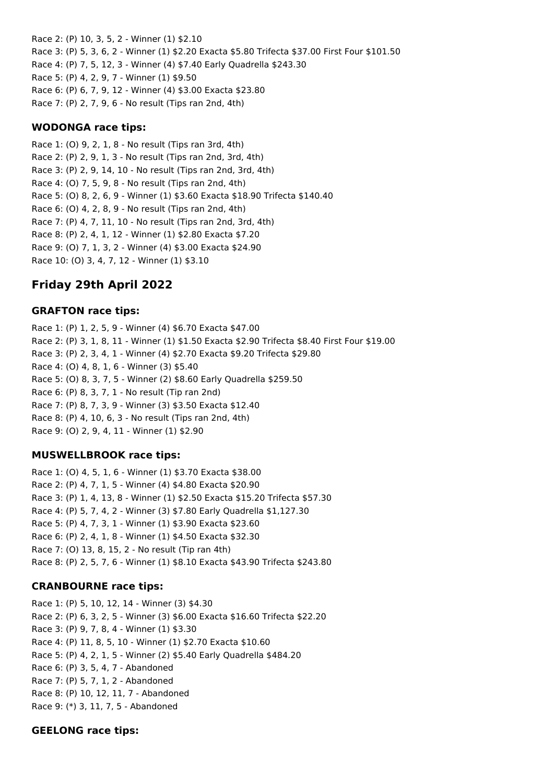Race 2: (P) 10, 3, 5, 2 - Winner (1) \$2.10 Race 3: (P) 5, 3, 6, 2 - Winner (1) \$2.20 Exacta \$5.80 Trifecta \$37.00 First Four \$101.50 Race 4: (P) 7, 5, 12, 3 - Winner (4) \$7.40 Early Quadrella \$243.30 Race 5: (P) 4, 2, 9, 7 - Winner (1) \$9.50 Race 6: (P) 6, 7, 9, 12 - Winner (4) \$3.00 Exacta \$23.80 Race 7: (P) 2, 7, 9, 6 - No result (Tips ran 2nd, 4th)

### **WODONGA race tips:**

Race 1: (O) 9, 2, 1, 8 - No result (Tips ran 3rd, 4th) Race 2: (P) 2, 9, 1, 3 - No result (Tips ran 2nd, 3rd, 4th) Race 3: (P) 2, 9, 14, 10 - No result (Tips ran 2nd, 3rd, 4th) Race 4: (O) 7, 5, 9, 8 - No result (Tips ran 2nd, 4th) Race 5: (O) 8, 2, 6, 9 - Winner (1) \$3.60 Exacta \$18.90 Trifecta \$140.40 Race 6: (O) 4, 2, 8, 9 - No result (Tips ran 2nd, 4th) Race 7: (P) 4, 7, 11, 10 - No result (Tips ran 2nd, 3rd, 4th) Race 8: (P) 2, 4, 1, 12 - Winner (1) \$2.80 Exacta \$7.20 Race 9: (O) 7, 1, 3, 2 - Winner (4) \$3.00 Exacta \$24.90 Race 10: (O) 3, 4, 7, 12 - Winner (1) \$3.10

## **Friday 29th April 2022**

### **GRAFTON race tips:**

Race 1: (P) 1, 2, 5, 9 - Winner (4) \$6.70 Exacta \$47.00 Race 2: (P) 3, 1, 8, 11 - Winner (1) \$1.50 Exacta \$2.90 Trifecta \$8.40 First Four \$19.00 Race 3: (P) 2, 3, 4, 1 - Winner (4) \$2.70 Exacta \$9.20 Trifecta \$29.80 Race 4: (O) 4, 8, 1, 6 - Winner (3) \$5.40 Race 5: (O) 8, 3, 7, 5 - Winner (2) \$8.60 Early Quadrella \$259.50 Race 6: (P) 8, 3, 7, 1 - No result (Tip ran 2nd) Race 7: (P) 8, 7, 3, 9 - Winner (3) \$3.50 Exacta \$12.40 Race 8: (P) 4, 10, 6, 3 - No result (Tips ran 2nd, 4th) Race 9: (O) 2, 9, 4, 11 - Winner (1) \$2.90

#### **MUSWELLBROOK race tips:**

Race 1: (O) 4, 5, 1, 6 - Winner (1) \$3.70 Exacta \$38.00 Race 2: (P) 4, 7, 1, 5 - Winner (4) \$4.80 Exacta \$20.90 Race 3: (P) 1, 4, 13, 8 - Winner (1) \$2.50 Exacta \$15.20 Trifecta \$57.30 Race 4: (P) 5, 7, 4, 2 - Winner (3) \$7.80 Early Quadrella \$1,127.30 Race 5: (P) 4, 7, 3, 1 - Winner (1) \$3.90 Exacta \$23.60 Race 6: (P) 2, 4, 1, 8 - Winner (1) \$4.50 Exacta \$32.30 Race 7: (O) 13, 8, 15, 2 - No result (Tip ran 4th) Race 8: (P) 2, 5, 7, 6 - Winner (1) \$8.10 Exacta \$43.90 Trifecta \$243.80

#### **CRANBOURNE race tips:**

Race 1: (P) 5, 10, 12, 14 - Winner (3) \$4.30 Race 2: (P) 6, 3, 2, 5 - Winner (3) \$6.00 Exacta \$16.60 Trifecta \$22.20 Race 3: (P) 9, 7, 8, 4 - Winner (1) \$3.30 Race 4: (P) 11, 8, 5, 10 - Winner (1) \$2.70 Exacta \$10.60 Race 5: (P) 4, 2, 1, 5 - Winner (2) \$5.40 Early Quadrella \$484.20 Race 6: (P) 3, 5, 4, 7 - Abandoned Race 7: (P) 5, 7, 1, 2 - Abandoned Race 8: (P) 10, 12, 11, 7 - Abandoned Race 9: (\*) 3, 11, 7, 5 - Abandoned

#### **GEELONG race tips:**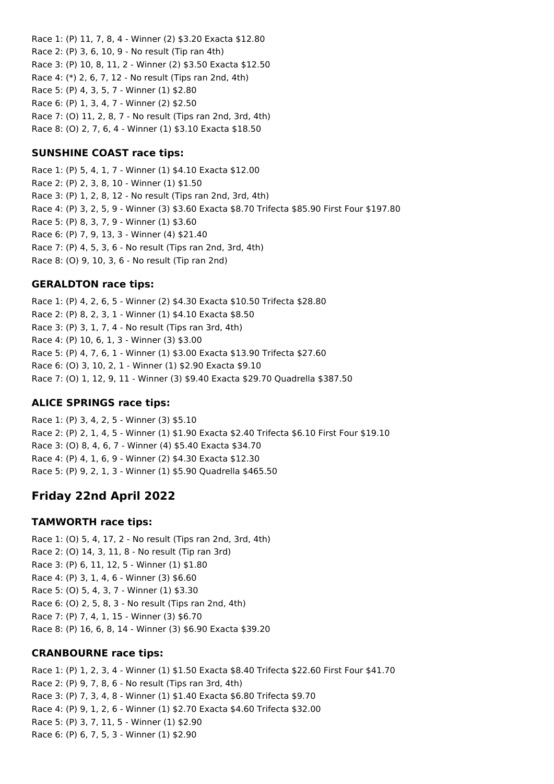Race 1: (P) 11, 7, 8, 4 - Winner (2) \$3.20 Exacta \$12.80 Race 2: (P) 3, 6, 10, 9 - No result (Tip ran 4th) Race 3: (P) 10, 8, 11, 2 - Winner (2) \$3.50 Exacta \$12.50 Race 4: (\*) 2, 6, 7, 12 - No result (Tips ran 2nd, 4th) Race 5: (P) 4, 3, 5, 7 - Winner (1) \$2.80 Race 6: (P) 1, 3, 4, 7 - Winner (2) \$2.50 Race 7: (O) 11, 2, 8, 7 - No result (Tips ran 2nd, 3rd, 4th) Race 8: (O) 2, 7, 6, 4 - Winner (1) \$3.10 Exacta \$18.50

## **SUNSHINE COAST race tips:**

Race 1: (P) 5, 4, 1, 7 - Winner (1) \$4.10 Exacta \$12.00 Race 2: (P) 2, 3, 8, 10 - Winner (1) \$1.50 Race 3: (P) 1, 2, 8, 12 - No result (Tips ran 2nd, 3rd, 4th) Race 4: (P) 3, 2, 5, 9 - Winner (3) \$3.60 Exacta \$8.70 Trifecta \$85.90 First Four \$197.80 Race 5: (P) 8, 3, 7, 9 - Winner (1) \$3.60 Race 6: (P) 7, 9, 13, 3 - Winner (4) \$21.40 Race 7: (P) 4, 5, 3, 6 - No result (Tips ran 2nd, 3rd, 4th) Race 8: (O) 9, 10, 3, 6 - No result (Tip ran 2nd)

## **GERALDTON race tips:**

Race 1: (P) 4, 2, 6, 5 - Winner (2) \$4.30 Exacta \$10.50 Trifecta \$28.80 Race 2: (P) 8, 2, 3, 1 - Winner (1) \$4.10 Exacta \$8.50 Race 3: (P) 3, 1, 7, 4 - No result (Tips ran 3rd, 4th) Race 4: (P) 10, 6, 1, 3 - Winner (3) \$3.00 Race 5: (P) 4, 7, 6, 1 - Winner (1) \$3.00 Exacta \$13.90 Trifecta \$27.60 Race 6: (O) 3, 10, 2, 1 - Winner (1) \$2.90 Exacta \$9.10 Race 7: (O) 1, 12, 9, 11 - Winner (3) \$9.40 Exacta \$29.70 Quadrella \$387.50

## **ALICE SPRINGS race tips:**

Race 1: (P) 3, 4, 2, 5 - Winner (3) \$5.10 Race 2: (P) 2, 1, 4, 5 - Winner (1) \$1.90 Exacta \$2.40 Trifecta \$6.10 First Four \$19.10 Race 3: (O) 8, 4, 6, 7 - Winner (4) \$5.40 Exacta \$34.70 Race 4: (P) 4, 1, 6, 9 - Winner (2) \$4.30 Exacta \$12.30 Race 5: (P) 9, 2, 1, 3 - Winner (1) \$5.90 Quadrella \$465.50

# **Friday 22nd April 2022**

## **TAMWORTH race tips:**

Race 1: (O) 5, 4, 17, 2 - No result (Tips ran 2nd, 3rd, 4th) Race 2: (O) 14, 3, 11, 8 - No result (Tip ran 3rd) Race 3: (P) 6, 11, 12, 5 - Winner (1) \$1.80 Race 4: (P) 3, 1, 4, 6 - Winner (3) \$6.60 Race 5: (O) 5, 4, 3, 7 - Winner (1) \$3.30 Race 6: (O) 2, 5, 8, 3 - No result (Tips ran 2nd, 4th) Race 7: (P) 7, 4, 1, 15 - Winner (3) \$6.70 Race 8: (P) 16, 6, 8, 14 - Winner (3) \$6.90 Exacta \$39.20

## **CRANBOURNE race tips:**

Race 1: (P) 1, 2, 3, 4 - Winner (1) \$1.50 Exacta \$8.40 Trifecta \$22.60 First Four \$41.70 Race 2: (P) 9, 7, 8, 6 - No result (Tips ran 3rd, 4th) Race 3: (P) 7, 3, 4, 8 - Winner (1) \$1.40 Exacta \$6.80 Trifecta \$9.70 Race 4: (P) 9, 1, 2, 6 - Winner (1) \$2.70 Exacta \$4.60 Trifecta \$32.00 Race 5: (P) 3, 7, 11, 5 - Winner (1) \$2.90 Race 6: (P) 6, 7, 5, 3 - Winner (1) \$2.90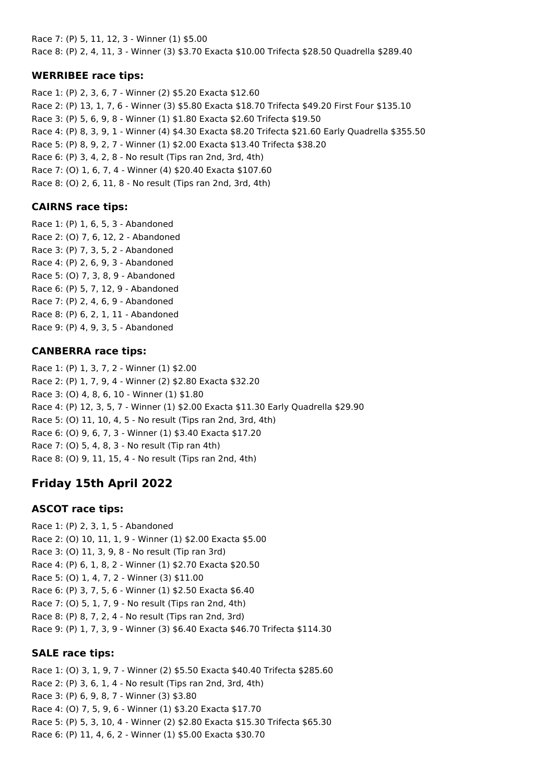Race 7: (P) 5, 11, 12, 3 - Winner (1) \$5.00 Race 8: (P) 2, 4, 11, 3 - Winner (3) \$3.70 Exacta \$10.00 Trifecta \$28.50 Quadrella \$289.40

## **WERRIBEE race tips:**

Race 1: (P) 2, 3, 6, 7 - Winner (2) \$5.20 Exacta \$12.60 Race 2: (P) 13, 1, 7, 6 - Winner (3) \$5.80 Exacta \$18.70 Trifecta \$49.20 First Four \$135.10 Race 3: (P) 5, 6, 9, 8 - Winner (1) \$1.80 Exacta \$2.60 Trifecta \$19.50 Race 4: (P) 8, 3, 9, 1 - Winner (4) \$4.30 Exacta \$8.20 Trifecta \$21.60 Early Quadrella \$355.50 Race 5: (P) 8, 9, 2, 7 - Winner (1) \$2.00 Exacta \$13.40 Trifecta \$38.20 Race 6: (P) 3, 4, 2, 8 - No result (Tips ran 2nd, 3rd, 4th) Race 7: (O) 1, 6, 7, 4 - Winner (4) \$20.40 Exacta \$107.60 Race 8: (O) 2, 6, 11, 8 - No result (Tips ran 2nd, 3rd, 4th)

## **CAIRNS race tips:**

Race 1: (P) 1, 6, 5, 3 - Abandoned Race 2: (O) 7, 6, 12, 2 - Abandoned Race 3: (P) 7, 3, 5, 2 - Abandoned Race 4: (P) 2, 6, 9, 3 - Abandoned Race 5: (O) 7, 3, 8, 9 - Abandoned Race 6: (P) 5, 7, 12, 9 - Abandoned Race 7: (P) 2, 4, 6, 9 - Abandoned Race 8: (P) 6, 2, 1, 11 - Abandoned Race 9: (P) 4, 9, 3, 5 - Abandoned

## **CANBERRA race tips:**

Race 1: (P) 1, 3, 7, 2 - Winner (1) \$2.00 Race 2: (P) 1, 7, 9, 4 - Winner (2) \$2.80 Exacta \$32.20 Race 3: (O) 4, 8, 6, 10 - Winner (1) \$1.80 Race 4: (P) 12, 3, 5, 7 - Winner (1) \$2.00 Exacta \$11.30 Early Quadrella \$29.90 Race 5: (O) 11, 10, 4, 5 - No result (Tips ran 2nd, 3rd, 4th) Race 6: (O) 9, 6, 7, 3 - Winner (1) \$3.40 Exacta \$17.20 Race 7: (O) 5, 4, 8, 3 - No result (Tip ran 4th) Race 8: (O) 9, 11, 15, 4 - No result (Tips ran 2nd, 4th)

# **Friday 15th April 2022**

## **ASCOT race tips:**

Race 1: (P) 2, 3, 1, 5 - Abandoned Race 2: (O) 10, 11, 1, 9 - Winner (1) \$2.00 Exacta \$5.00 Race 3: (O) 11, 3, 9, 8 - No result (Tip ran 3rd) Race 4: (P) 6, 1, 8, 2 - Winner (1) \$2.70 Exacta \$20.50 Race 5: (O) 1, 4, 7, 2 - Winner (3) \$11.00 Race 6: (P) 3, 7, 5, 6 - Winner (1) \$2.50 Exacta \$6.40 Race 7: (O) 5, 1, 7, 9 - No result (Tips ran 2nd, 4th) Race 8: (P) 8, 7, 2, 4 - No result (Tips ran 2nd, 3rd) Race 9: (P) 1, 7, 3, 9 - Winner (3) \$6.40 Exacta \$46.70 Trifecta \$114.30

## **SALE race tips:**

Race 1: (O) 3, 1, 9, 7 - Winner (2) \$5.50 Exacta \$40.40 Trifecta \$285.60 Race 2: (P) 3, 6, 1, 4 - No result (Tips ran 2nd, 3rd, 4th) Race 3: (P) 6, 9, 8, 7 - Winner (3) \$3.80 Race 4: (O) 7, 5, 9, 6 - Winner (1) \$3.20 Exacta \$17.70 Race 5: (P) 5, 3, 10, 4 - Winner (2) \$2.80 Exacta \$15.30 Trifecta \$65.30 Race 6: (P) 11, 4, 6, 2 - Winner (1) \$5.00 Exacta \$30.70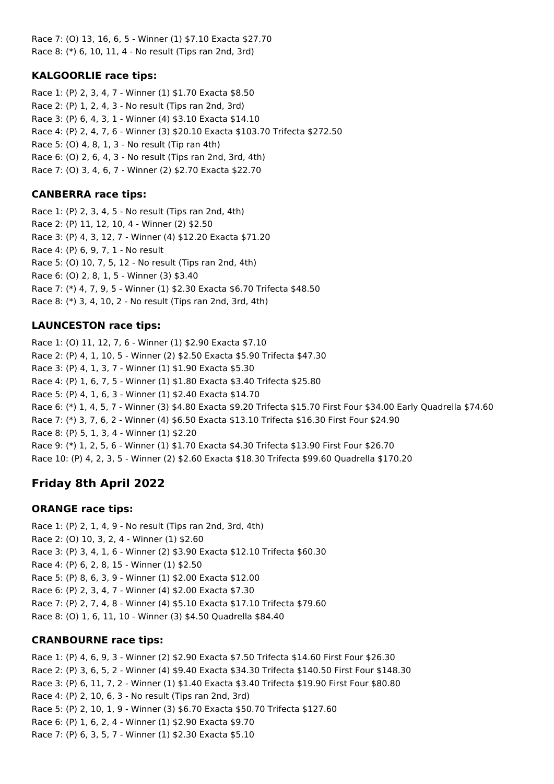Race 7: (O) 13, 16, 6, 5 - Winner (1) \$7.10 Exacta \$27.70 Race 8: (\*) 6, 10, 11, 4 - No result (Tips ran 2nd, 3rd)

## **KALGOORLIE race tips:**

Race 1: (P) 2, 3, 4, 7 - Winner (1) \$1.70 Exacta \$8.50 Race 2: (P) 1, 2, 4, 3 - No result (Tips ran 2nd, 3rd) Race 3: (P) 6, 4, 3, 1 - Winner (4) \$3.10 Exacta \$14.10 Race 4: (P) 2, 4, 7, 6 - Winner (3) \$20.10 Exacta \$103.70 Trifecta \$272.50 Race 5: (O) 4, 8, 1, 3 - No result (Tip ran 4th) Race 6: (O) 2, 6, 4, 3 - No result (Tips ran 2nd, 3rd, 4th) Race 7: (O) 3, 4, 6, 7 - Winner (2) \$2.70 Exacta \$22.70

## **CANBERRA race tips:**

Race 1: (P) 2, 3, 4, 5 - No result (Tips ran 2nd, 4th) Race 2: (P) 11, 12, 10, 4 - Winner (2) \$2.50 Race 3: (P) 4, 3, 12, 7 - Winner (4) \$12.20 Exacta \$71.20 Race 4: (P) 6, 9, 7, 1 - No result Race 5: (O) 10, 7, 5, 12 - No result (Tips ran 2nd, 4th) Race 6: (O) 2, 8, 1, 5 - Winner (3) \$3.40 Race 7: (\*) 4, 7, 9, 5 - Winner (1) \$2.30 Exacta \$6.70 Trifecta \$48.50 Race 8: (\*) 3, 4, 10, 2 - No result (Tips ran 2nd, 3rd, 4th)

## **LAUNCESTON race tips:**

Race 1: (O) 11, 12, 7, 6 - Winner (1) \$2.90 Exacta \$7.10 Race 2: (P) 4, 1, 10, 5 - Winner (2) \$2.50 Exacta \$5.90 Trifecta \$47.30 Race 3: (P) 4, 1, 3, 7 - Winner (1) \$1.90 Exacta \$5.30 Race 4: (P) 1, 6, 7, 5 - Winner (1) \$1.80 Exacta \$3.40 Trifecta \$25.80 Race 5: (P) 4, 1, 6, 3 - Winner (1) \$2.40 Exacta \$14.70 Race 6: (\*) 1, 4, 5, 7 - Winner (3) \$4.80 Exacta \$9.20 Trifecta \$15.70 First Four \$34.00 Early Quadrella \$74.60 Race 7: (\*) 3, 7, 6, 2 - Winner (4) \$6.50 Exacta \$13.10 Trifecta \$16.30 First Four \$24.90 Race 8: (P) 5, 1, 3, 4 - Winner (1) \$2.20 Race 9: (\*) 1, 2, 5, 6 - Winner (1) \$1.70 Exacta \$4.30 Trifecta \$13.90 First Four \$26.70 Race 10: (P) 4, 2, 3, 5 - Winner (2) \$2.60 Exacta \$18.30 Trifecta \$99.60 Quadrella \$170.20

# **Friday 8th April 2022**

# **ORANGE race tips:**

Race 1: (P) 2, 1, 4, 9 - No result (Tips ran 2nd, 3rd, 4th) Race 2: (O) 10, 3, 2, 4 - Winner (1) \$2.60 Race 3: (P) 3, 4, 1, 6 - Winner (2) \$3.90 Exacta \$12.10 Trifecta \$60.30 Race 4: (P) 6, 2, 8, 15 - Winner (1) \$2.50 Race 5: (P) 8, 6, 3, 9 - Winner (1) \$2.00 Exacta \$12.00 Race 6: (P) 2, 3, 4, 7 - Winner (4) \$2.00 Exacta \$7.30 Race 7: (P) 2, 7, 4, 8 - Winner (4) \$5.10 Exacta \$17.10 Trifecta \$79.60 Race 8: (O) 1, 6, 11, 10 - Winner (3) \$4.50 Quadrella \$84.40

# **CRANBOURNE race tips:**

Race 1: (P) 4, 6, 9, 3 - Winner (2) \$2.90 Exacta \$7.50 Trifecta \$14.60 First Four \$26.30 Race 2: (P) 3, 6, 5, 2 - Winner (4) \$9.40 Exacta \$34.30 Trifecta \$140.50 First Four \$148.30 Race 3: (P) 6, 11, 7, 2 - Winner (1) \$1.40 Exacta \$3.40 Trifecta \$19.90 First Four \$80.80 Race 4: (P) 2, 10, 6, 3 - No result (Tips ran 2nd, 3rd) Race 5: (P) 2, 10, 1, 9 - Winner (3) \$6.70 Exacta \$50.70 Trifecta \$127.60 Race 6: (P) 1, 6, 2, 4 - Winner (1) \$2.90 Exacta \$9.70 Race 7: (P) 6, 3, 5, 7 - Winner (1) \$2.30 Exacta \$5.10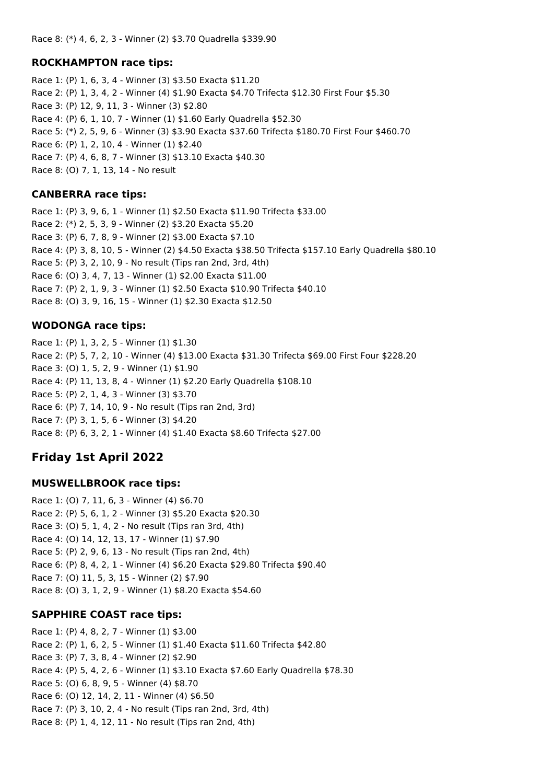### **ROCKHAMPTON race tips:**

Race 1: (P) 1, 6, 3, 4 - Winner (3) \$3.50 Exacta \$11.20 Race 2: (P) 1, 3, 4, 2 - Winner (4) \$1.90 Exacta \$4.70 Trifecta \$12.30 First Four \$5.30 Race 3: (P) 12, 9, 11, 3 - Winner (3) \$2.80 Race 4: (P) 6, 1, 10, 7 - Winner (1) \$1.60 Early Quadrella \$52.30 Race 5: (\*) 2, 5, 9, 6 - Winner (3) \$3.90 Exacta \$37.60 Trifecta \$180.70 First Four \$460.70 Race 6: (P) 1, 2, 10, 4 - Winner (1) \$2.40 Race 7: (P) 4, 6, 8, 7 - Winner (3) \$13.10 Exacta \$40.30 Race 8: (O) 7, 1, 13, 14 - No result

### **CANBERRA race tips:**

Race 1: (P) 3, 9, 6, 1 - Winner (1) \$2.50 Exacta \$11.90 Trifecta \$33.00 Race 2: (\*) 2, 5, 3, 9 - Winner (2) \$3.20 Exacta \$5.20 Race 3: (P) 6, 7, 8, 9 - Winner (2) \$3.00 Exacta \$7.10 Race 4: (P) 3, 8, 10, 5 - Winner (2) \$4.50 Exacta \$38.50 Trifecta \$157.10 Early Quadrella \$80.10 Race 5: (P) 3, 2, 10, 9 - No result (Tips ran 2nd, 3rd, 4th) Race 6: (O) 3, 4, 7, 13 - Winner (1) \$2.00 Exacta \$11.00 Race 7: (P) 2, 1, 9, 3 - Winner (1) \$2.50 Exacta \$10.90 Trifecta \$40.10 Race 8: (O) 3, 9, 16, 15 - Winner (1) \$2.30 Exacta \$12.50

### **WODONGA race tips:**

Race 1: (P) 1, 3, 2, 5 - Winner (1) \$1.30 Race 2: (P) 5, 7, 2, 10 - Winner (4) \$13.00 Exacta \$31.30 Trifecta \$69.00 First Four \$228.20 Race 3: (O) 1, 5, 2, 9 - Winner (1) \$1.90 Race 4: (P) 11, 13, 8, 4 - Winner (1) \$2.20 Early Quadrella \$108.10 Race 5: (P) 2, 1, 4, 3 - Winner (3) \$3.70 Race 6: (P) 7, 14, 10, 9 - No result (Tips ran 2nd, 3rd) Race 7: (P) 3, 1, 5, 6 - Winner (3) \$4.20 Race 8: (P) 6, 3, 2, 1 - Winner (4) \$1.40 Exacta \$8.60 Trifecta \$27.00

# **Friday 1st April 2022**

### **MUSWELLBROOK race tips:**

Race 1: (O) 7, 11, 6, 3 - Winner (4) \$6.70 Race 2: (P) 5, 6, 1, 2 - Winner (3) \$5.20 Exacta \$20.30 Race 3: (O) 5, 1, 4, 2 - No result (Tips ran 3rd, 4th) Race 4: (O) 14, 12, 13, 17 - Winner (1) \$7.90 Race 5: (P) 2, 9, 6, 13 - No result (Tips ran 2nd, 4th) Race 6: (P) 8, 4, 2, 1 - Winner (4) \$6.20 Exacta \$29.80 Trifecta \$90.40 Race 7: (O) 11, 5, 3, 15 - Winner (2) \$7.90 Race 8: (O) 3, 1, 2, 9 - Winner (1) \$8.20 Exacta \$54.60

## **SAPPHIRE COAST race tips:**

Race 1: (P) 4, 8, 2, 7 - Winner (1) \$3.00 Race 2: (P) 1, 6, 2, 5 - Winner (1) \$1.40 Exacta \$11.60 Trifecta \$42.80 Race 3: (P) 7, 3, 8, 4 - Winner (2) \$2.90 Race 4: (P) 5, 4, 2, 6 - Winner (1) \$3.10 Exacta \$7.60 Early Quadrella \$78.30 Race 5: (O) 6, 8, 9, 5 - Winner (4) \$8.70 Race 6: (O) 12, 14, 2, 11 - Winner (4) \$6.50 Race 7: (P) 3, 10, 2, 4 - No result (Tips ran 2nd, 3rd, 4th) Race 8: (P) 1, 4, 12, 11 - No result (Tips ran 2nd, 4th)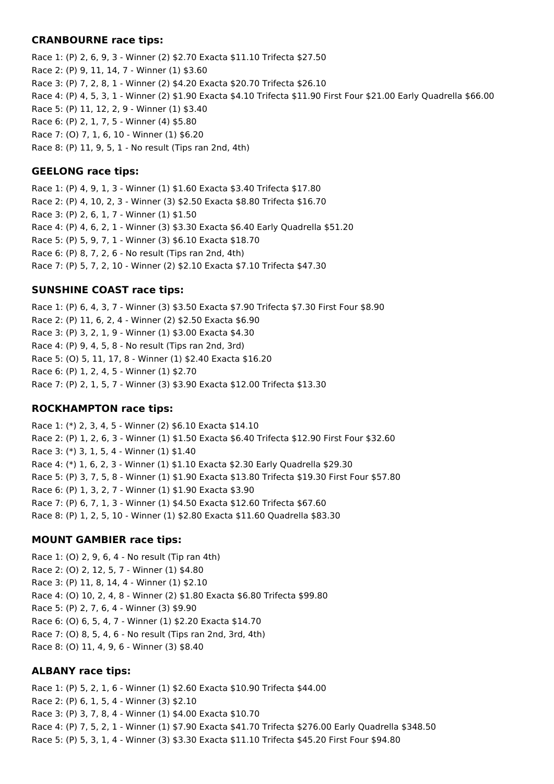#### **CRANBOURNE race tips:**

Race 1: (P) 2, 6, 9, 3 - Winner (2) \$2.70 Exacta \$11.10 Trifecta \$27.50 Race 2: (P) 9, 11, 14, 7 - Winner (1) \$3.60 Race 3: (P) 7, 2, 8, 1 - Winner (2) \$4.20 Exacta \$20.70 Trifecta \$26.10 Race 4: (P) 4, 5, 3, 1 - Winner (2) \$1.90 Exacta \$4.10 Trifecta \$11.90 First Four \$21.00 Early Quadrella \$66.00 Race 5: (P) 11, 12, 2, 9 - Winner (1) \$3.40 Race 6: (P) 2, 1, 7, 5 - Winner (4) \$5.80 Race 7: (O) 7, 1, 6, 10 - Winner (1) \$6.20 Race 8: (P) 11, 9, 5, 1 - No result (Tips ran 2nd, 4th)

### **GEELONG race tips:**

Race 1: (P) 4, 9, 1, 3 - Winner (1) \$1.60 Exacta \$3.40 Trifecta \$17.80 Race 2: (P) 4, 10, 2, 3 - Winner (3) \$2.50 Exacta \$8.80 Trifecta \$16.70 Race 3: (P) 2, 6, 1, 7 - Winner (1) \$1.50 Race 4: (P) 4, 6, 2, 1 - Winner (3) \$3.30 Exacta \$6.40 Early Quadrella \$51.20 Race 5: (P) 5, 9, 7, 1 - Winner (3) \$6.10 Exacta \$18.70 Race 6: (P) 8, 7, 2, 6 - No result (Tips ran 2nd, 4th) Race 7: (P) 5, 7, 2, 10 - Winner (2) \$2.10 Exacta \$7.10 Trifecta \$47.30

### **SUNSHINE COAST race tips:**

Race 1: (P) 6, 4, 3, 7 - Winner (3) \$3.50 Exacta \$7.90 Trifecta \$7.30 First Four \$8.90 Race 2: (P) 11, 6, 2, 4 - Winner (2) \$2.50 Exacta \$6.90 Race 3: (P) 3, 2, 1, 9 - Winner (1) \$3.00 Exacta \$4.30 Race 4: (P) 9, 4, 5, 8 - No result (Tips ran 2nd, 3rd) Race 5: (O) 5, 11, 17, 8 - Winner (1) \$2.40 Exacta \$16.20 Race 6: (P) 1, 2, 4, 5 - Winner (1) \$2.70 Race 7: (P) 2, 1, 5, 7 - Winner (3) \$3.90 Exacta \$12.00 Trifecta \$13.30

### **ROCKHAMPTON race tips:**

Race 1: (\*) 2, 3, 4, 5 - Winner (2) \$6.10 Exacta \$14.10 Race 2: (P) 1, 2, 6, 3 - Winner (1) \$1.50 Exacta \$6.40 Trifecta \$12.90 First Four \$32.60 Race 3: (\*) 3, 1, 5, 4 - Winner (1) \$1.40 Race 4: (\*) 1, 6, 2, 3 - Winner (1) \$1.10 Exacta \$2.30 Early Quadrella \$29.30 Race 5: (P) 3, 7, 5, 8 - Winner (1) \$1.90 Exacta \$13.80 Trifecta \$19.30 First Four \$57.80 Race 6: (P) 1, 3, 2, 7 - Winner (1) \$1.90 Exacta \$3.90 Race 7: (P) 6, 7, 1, 3 - Winner (1) \$4.50 Exacta \$12.60 Trifecta \$67.60 Race 8: (P) 1, 2, 5, 10 - Winner (1) \$2.80 Exacta \$11.60 Quadrella \$83.30

### **MOUNT GAMBIER race tips:**

Race 1: (O) 2, 9, 6, 4 - No result (Tip ran 4th) Race 2: (O) 2, 12, 5, 7 - Winner (1) \$4.80 Race 3: (P) 11, 8, 14, 4 - Winner (1) \$2.10 Race 4: (O) 10, 2, 4, 8 - Winner (2) \$1.80 Exacta \$6.80 Trifecta \$99.80 Race 5: (P) 2, 7, 6, 4 - Winner (3) \$9.90 Race 6: (O) 6, 5, 4, 7 - Winner (1) \$2.20 Exacta \$14.70 Race 7: (O) 8, 5, 4, 6 - No result (Tips ran 2nd, 3rd, 4th) Race 8: (O) 11, 4, 9, 6 - Winner (3) \$8.40

### **ALBANY race tips:**

Race 1: (P) 5, 2, 1, 6 - Winner (1) \$2.60 Exacta \$10.90 Trifecta \$44.00 Race 2: (P) 6, 1, 5, 4 - Winner (3) \$2.10 Race 3: (P) 3, 7, 8, 4 - Winner (1) \$4.00 Exacta \$10.70 Race 4: (P) 7, 5, 2, 1 - Winner (1) \$7.90 Exacta \$41.70 Trifecta \$276.00 Early Quadrella \$348.50 Race 5: (P) 5, 3, 1, 4 - Winner (3) \$3.30 Exacta \$11.10 Trifecta \$45.20 First Four \$94.80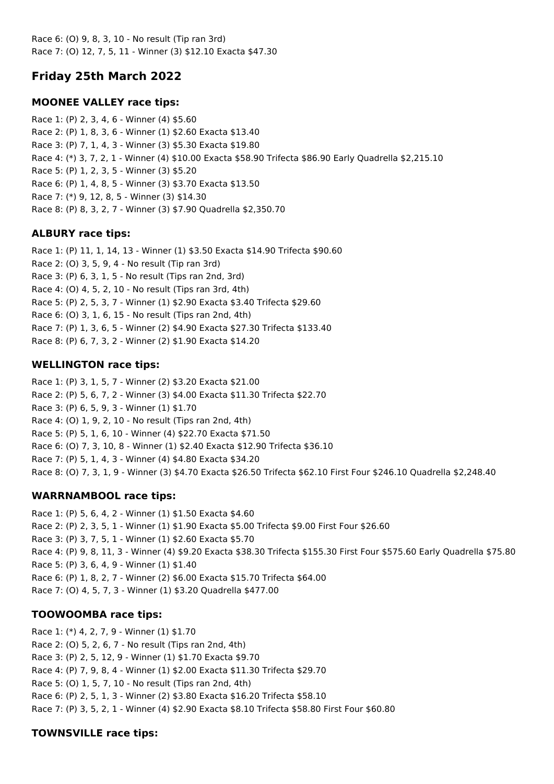Race 6: (O) 9, 8, 3, 10 - No result (Tip ran 3rd) Race 7: (O) 12, 7, 5, 11 - Winner (3) \$12.10 Exacta \$47.30

# **Friday 25th March 2022**

# **MOONEE VALLEY race tips:**

Race 1: (P) 2, 3, 4, 6 - Winner (4) \$5.60 Race 2: (P) 1, 8, 3, 6 - Winner (1) \$2.60 Exacta \$13.40 Race 3: (P) 7, 1, 4, 3 - Winner (3) \$5.30 Exacta \$19.80 Race 4: (\*) 3, 7, 2, 1 - Winner (4) \$10.00 Exacta \$58.90 Trifecta \$86.90 Early Quadrella \$2,215.10 Race 5: (P) 1, 2, 3, 5 - Winner (3) \$5.20 Race 6: (P) 1, 4, 8, 5 - Winner (3) \$3.70 Exacta \$13.50 Race 7: (\*) 9, 12, 8, 5 - Winner (3) \$14.30 Race 8: (P) 8, 3, 2, 7 - Winner (3) \$7.90 Quadrella \$2,350.70

## **ALBURY race tips:**

Race 1: (P) 11, 1, 14, 13 - Winner (1) \$3.50 Exacta \$14.90 Trifecta \$90.60 Race 2: (O) 3, 5, 9, 4 - No result (Tip ran 3rd) Race 3: (P) 6, 3, 1, 5 - No result (Tips ran 2nd, 3rd) Race 4: (O) 4, 5, 2, 10 - No result (Tips ran 3rd, 4th) Race 5: (P) 2, 5, 3, 7 - Winner (1) \$2.90 Exacta \$3.40 Trifecta \$29.60 Race 6: (O) 3, 1, 6, 15 - No result (Tips ran 2nd, 4th) Race 7: (P) 1, 3, 6, 5 - Winner (2) \$4.90 Exacta \$27.30 Trifecta \$133.40 Race 8: (P) 6, 7, 3, 2 - Winner (2) \$1.90 Exacta \$14.20

## **WELLINGTON race tips:**

Race 1: (P) 3, 1, 5, 7 - Winner (2) \$3.20 Exacta \$21.00 Race 2: (P) 5, 6, 7, 2 - Winner (3) \$4.00 Exacta \$11.30 Trifecta \$22.70 Race 3: (P) 6, 5, 9, 3 - Winner (1) \$1.70 Race 4: (O) 1, 9, 2, 10 - No result (Tips ran 2nd, 4th) Race 5: (P) 5, 1, 6, 10 - Winner (4) \$22.70 Exacta \$71.50 Race 6: (O) 7, 3, 10, 8 - Winner (1) \$2.40 Exacta \$12.90 Trifecta \$36.10 Race 7: (P) 5, 1, 4, 3 - Winner (4) \$4.80 Exacta \$34.20 Race 8: (O) 7, 3, 1, 9 - Winner (3) \$4.70 Exacta \$26.50 Trifecta \$62.10 First Four \$246.10 Quadrella \$2,248.40

## **WARRNAMBOOL race tips:**

Race 1: (P) 5, 6, 4, 2 - Winner (1) \$1.50 Exacta \$4.60 Race 2: (P) 2, 3, 5, 1 - Winner (1) \$1.90 Exacta \$5.00 Trifecta \$9.00 First Four \$26.60 Race 3: (P) 3, 7, 5, 1 - Winner (1) \$2.60 Exacta \$5.70 Race 4: (P) 9, 8, 11, 3 - Winner (4) \$9.20 Exacta \$38.30 Trifecta \$155.30 First Four \$575.60 Early Quadrella \$75.80 Race 5: (P) 3, 6, 4, 9 - Winner (1) \$1.40 Race 6: (P) 1, 8, 2, 7 - Winner (2) \$6.00 Exacta \$15.70 Trifecta \$64.00 Race 7: (O) 4, 5, 7, 3 - Winner (1) \$3.20 Quadrella \$477.00

## **TOOWOOMBA race tips:**

Race 1: (\*) 4, 2, 7, 9 - Winner (1) \$1.70 Race 2: (O) 5, 2, 6, 7 - No result (Tips ran 2nd, 4th) Race 3: (P) 2, 5, 12, 9 - Winner (1) \$1.70 Exacta \$9.70 Race 4: (P) 7, 9, 8, 4 - Winner (1) \$2.00 Exacta \$11.30 Trifecta \$29.70 Race 5: (O) 1, 5, 7, 10 - No result (Tips ran 2nd, 4th) Race 6: (P) 2, 5, 1, 3 - Winner (2) \$3.80 Exacta \$16.20 Trifecta \$58.10 Race 7: (P) 3, 5, 2, 1 - Winner (4) \$2.90 Exacta \$8.10 Trifecta \$58.80 First Four \$60.80

## **TOWNSVILLE race tips:**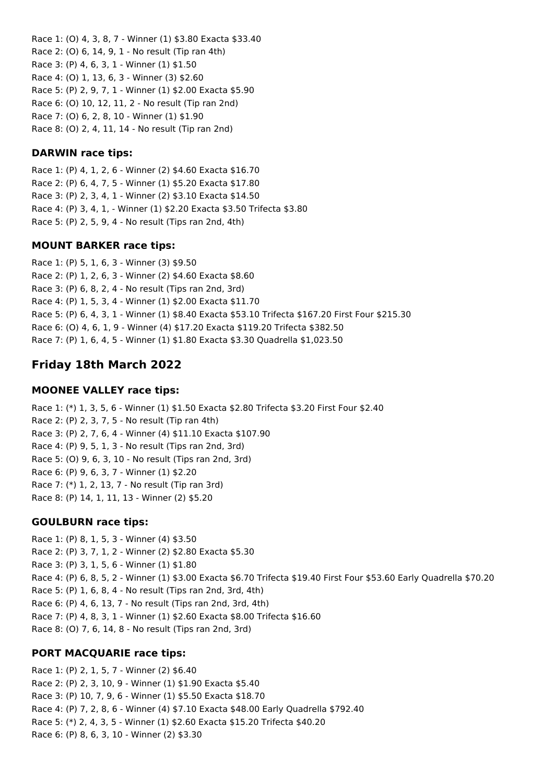Race 1: (O) 4, 3, 8, 7 - Winner (1) \$3.80 Exacta \$33.40 Race 2: (O) 6, 14, 9, 1 - No result (Tip ran 4th) Race 3: (P) 4, 6, 3, 1 - Winner (1) \$1.50 Race 4: (O) 1, 13, 6, 3 - Winner (3) \$2.60 Race 5: (P) 2, 9, 7, 1 - Winner (1) \$2.00 Exacta \$5.90 Race 6: (O) 10, 12, 11, 2 - No result (Tip ran 2nd) Race 7: (O) 6, 2, 8, 10 - Winner (1) \$1.90 Race 8: (O) 2, 4, 11, 14 - No result (Tip ran 2nd)

### **DARWIN race tips:**

Race 1: (P) 4, 1, 2, 6 - Winner (2) \$4.60 Exacta \$16.70 Race 2: (P) 6, 4, 7, 5 - Winner (1) \$5.20 Exacta \$17.80 Race 3: (P) 2, 3, 4, 1 - Winner (2) \$3.10 Exacta \$14.50 Race 4: (P) 3, 4, 1, - Winner (1) \$2.20 Exacta \$3.50 Trifecta \$3.80 Race 5: (P) 2, 5, 9, 4 - No result (Tips ran 2nd, 4th)

### **MOUNT BARKER race tips:**

Race 1: (P) 5, 1, 6, 3 - Winner (3) \$9.50 Race 2: (P) 1, 2, 6, 3 - Winner (2) \$4.60 Exacta \$8.60 Race 3: (P) 6, 8, 2, 4 - No result (Tips ran 2nd, 3rd) Race 4: (P) 1, 5, 3, 4 - Winner (1) \$2.00 Exacta \$11.70 Race 5: (P) 6, 4, 3, 1 - Winner (1) \$8.40 Exacta \$53.10 Trifecta \$167.20 First Four \$215.30 Race 6: (O) 4, 6, 1, 9 - Winner (4) \$17.20 Exacta \$119.20 Trifecta \$382.50 Race 7: (P) 1, 6, 4, 5 - Winner (1) \$1.80 Exacta \$3.30 Quadrella \$1,023.50

# **Friday 18th March 2022**

### **MOONEE VALLEY race tips:**

Race 1: (\*) 1, 3, 5, 6 - Winner (1) \$1.50 Exacta \$2.80 Trifecta \$3.20 First Four \$2.40 Race 2: (P) 2, 3, 7, 5 - No result (Tip ran 4th) Race 3: (P) 2, 7, 6, 4 - Winner (4) \$11.10 Exacta \$107.90 Race 4: (P) 9, 5, 1, 3 - No result (Tips ran 2nd, 3rd) Race 5: (O) 9, 6, 3, 10 - No result (Tips ran 2nd, 3rd) Race 6: (P) 9, 6, 3, 7 - Winner (1) \$2.20 Race 7: (\*) 1, 2, 13, 7 - No result (Tip ran 3rd) Race 8: (P) 14, 1, 11, 13 - Winner (2) \$5.20

### **GOULBURN race tips:**

Race 1: (P) 8, 1, 5, 3 - Winner (4) \$3.50 Race 2: (P) 3, 7, 1, 2 - Winner (2) \$2.80 Exacta \$5.30 Race 3: (P) 3, 1, 5, 6 - Winner (1) \$1.80 Race 4: (P) 6, 8, 5, 2 - Winner (1) \$3.00 Exacta \$6.70 Trifecta \$19.40 First Four \$53.60 Early Quadrella \$70.20 Race 5: (P) 1, 6, 8, 4 - No result (Tips ran 2nd, 3rd, 4th) Race 6: (P) 4, 6, 13, 7 - No result (Tips ran 2nd, 3rd, 4th) Race 7: (P) 4, 8, 3, 1 - Winner (1) \$2.60 Exacta \$8.00 Trifecta \$16.60 Race 8: (O) 7, 6, 14, 8 - No result (Tips ran 2nd, 3rd)

## **PORT MACQUARIE race tips:**

Race 1: (P) 2, 1, 5, 7 - Winner (2) \$6.40 Race 2: (P) 2, 3, 10, 9 - Winner (1) \$1.90 Exacta \$5.40 Race 3: (P) 10, 7, 9, 6 - Winner (1) \$5.50 Exacta \$18.70 Race 4: (P) 7, 2, 8, 6 - Winner (4) \$7.10 Exacta \$48.00 Early Quadrella \$792.40 Race 5: (\*) 2, 4, 3, 5 - Winner (1) \$2.60 Exacta \$15.20 Trifecta \$40.20 Race 6: (P) 8, 6, 3, 10 - Winner (2) \$3.30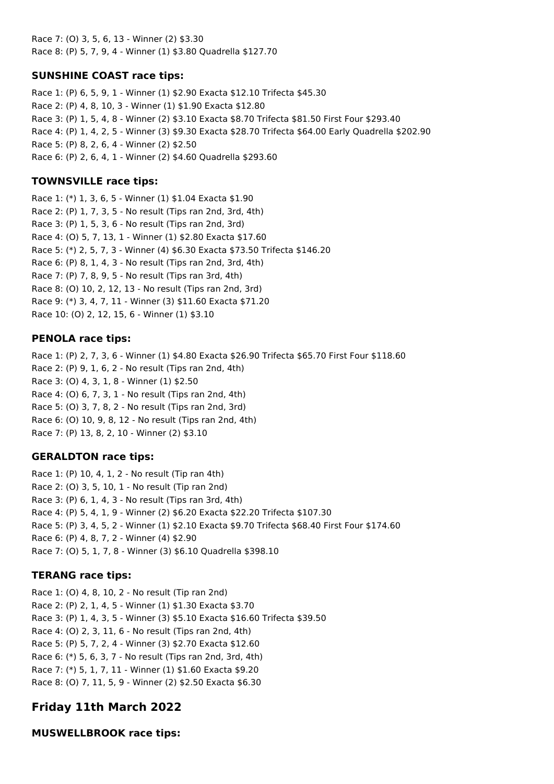Race 7: (O) 3, 5, 6, 13 - Winner (2) \$3.30 Race 8: (P) 5, 7, 9, 4 - Winner (1) \$3.80 Quadrella \$127.70

# **SUNSHINE COAST race tips:**

Race 1: (P) 6, 5, 9, 1 - Winner (1) \$2.90 Exacta \$12.10 Trifecta \$45.30 Race 2: (P) 4, 8, 10, 3 - Winner (1) \$1.90 Exacta \$12.80 Race 3: (P) 1, 5, 4, 8 - Winner (2) \$3.10 Exacta \$8.70 Trifecta \$81.50 First Four \$293.40 Race 4: (P) 1, 4, 2, 5 - Winner (3) \$9.30 Exacta \$28.70 Trifecta \$64.00 Early Quadrella \$202.90 Race 5: (P) 8, 2, 6, 4 - Winner (2) \$2.50 Race 6: (P) 2, 6, 4, 1 - Winner (2) \$4.60 Quadrella \$293.60

## **TOWNSVILLE race tips:**

Race 1: (\*) 1, 3, 6, 5 - Winner (1) \$1.04 Exacta \$1.90 Race 2: (P) 1, 7, 3, 5 - No result (Tips ran 2nd, 3rd, 4th) Race 3: (P) 1, 5, 3, 6 - No result (Tips ran 2nd, 3rd) Race 4: (O) 5, 7, 13, 1 - Winner (1) \$2.80 Exacta \$17.60 Race 5: (\*) 2, 5, 7, 3 - Winner (4) \$6.30 Exacta \$73.50 Trifecta \$146.20 Race 6: (P) 8, 1, 4, 3 - No result (Tips ran 2nd, 3rd, 4th) Race 7: (P) 7, 8, 9, 5 - No result (Tips ran 3rd, 4th) Race 8: (O) 10, 2, 12, 13 - No result (Tips ran 2nd, 3rd) Race 9: (\*) 3, 4, 7, 11 - Winner (3) \$11.60 Exacta \$71.20 Race 10: (O) 2, 12, 15, 6 - Winner (1) \$3.10

### **PENOLA race tips:**

Race 1: (P) 2, 7, 3, 6 - Winner (1) \$4.80 Exacta \$26.90 Trifecta \$65.70 First Four \$118.60 Race 2: (P) 9, 1, 6, 2 - No result (Tips ran 2nd, 4th) Race 3: (O) 4, 3, 1, 8 - Winner (1) \$2.50 Race 4: (O) 6, 7, 3, 1 - No result (Tips ran 2nd, 4th) Race 5: (O) 3, 7, 8, 2 - No result (Tips ran 2nd, 3rd) Race 6: (O) 10, 9, 8, 12 - No result (Tips ran 2nd, 4th) Race 7: (P) 13, 8, 2, 10 - Winner (2) \$3.10

## **GERALDTON race tips:**

Race 1: (P) 10, 4, 1, 2 - No result (Tip ran 4th) Race 2: (O) 3, 5, 10, 1 - No result (Tip ran 2nd) Race 3: (P) 6, 1, 4, 3 - No result (Tips ran 3rd, 4th) Race 4: (P) 5, 4, 1, 9 - Winner (2) \$6.20 Exacta \$22.20 Trifecta \$107.30 Race 5: (P) 3, 4, 5, 2 - Winner (1) \$2.10 Exacta \$9.70 Trifecta \$68.40 First Four \$174.60 Race 6: (P) 4, 8, 7, 2 - Winner (4) \$2.90 Race 7: (O) 5, 1, 7, 8 - Winner (3) \$6.10 Quadrella \$398.10

## **TERANG race tips:**

Race 1: (O) 4, 8, 10, 2 - No result (Tip ran 2nd) Race 2: (P) 2, 1, 4, 5 - Winner (1) \$1.30 Exacta \$3.70 Race 3: (P) 1, 4, 3, 5 - Winner (3) \$5.10 Exacta \$16.60 Trifecta \$39.50 Race 4: (O) 2, 3, 11, 6 - No result (Tips ran 2nd, 4th) Race 5: (P) 5, 7, 2, 4 - Winner (3) \$2.70 Exacta \$12.60 Race 6: (\*) 5, 6, 3, 7 - No result (Tips ran 2nd, 3rd, 4th) Race 7: (\*) 5, 1, 7, 11 - Winner (1) \$1.60 Exacta \$9.20 Race 8: (O) 7, 11, 5, 9 - Winner (2) \$2.50 Exacta \$6.30

# **Friday 11th March 2022**

**MUSWELLBROOK race tips:**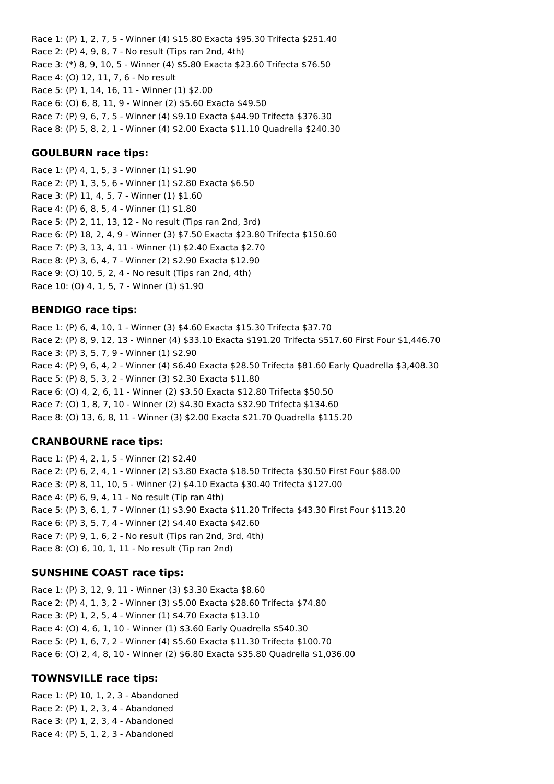Race 1: (P) 1, 2, 7, 5 - Winner (4) \$15.80 Exacta \$95.30 Trifecta \$251.40 Race 2: (P) 4, 9, 8, 7 - No result (Tips ran 2nd, 4th) Race 3: (\*) 8, 9, 10, 5 - Winner (4) \$5.80 Exacta \$23.60 Trifecta \$76.50 Race 4: (O) 12, 11, 7, 6 - No result Race 5: (P) 1, 14, 16, 11 - Winner (1) \$2.00 Race 6: (O) 6, 8, 11, 9 - Winner (2) \$5.60 Exacta \$49.50 Race 7: (P) 9, 6, 7, 5 - Winner (4) \$9.10 Exacta \$44.90 Trifecta \$376.30 Race 8: (P) 5, 8, 2, 1 - Winner (4) \$2.00 Exacta \$11.10 Quadrella \$240.30

## **GOULBURN race tips:**

Race 1: (P) 4, 1, 5, 3 - Winner (1) \$1.90 Race 2: (P) 1, 3, 5, 6 - Winner (1) \$2.80 Exacta \$6.50 Race 3: (P) 11, 4, 5, 7 - Winner (1) \$1.60 Race 4: (P) 6, 8, 5, 4 - Winner (1) \$1.80 Race 5: (P) 2, 11, 13, 12 - No result (Tips ran 2nd, 3rd) Race 6: (P) 18, 2, 4, 9 - Winner (3) \$7.50 Exacta \$23.80 Trifecta \$150.60 Race 7: (P) 3, 13, 4, 11 - Winner (1) \$2.40 Exacta \$2.70 Race 8: (P) 3, 6, 4, 7 - Winner (2) \$2.90 Exacta \$12.90 Race 9: (O) 10, 5, 2, 4 - No result (Tips ran 2nd, 4th) Race 10: (O) 4, 1, 5, 7 - Winner (1) \$1.90

### **BENDIGO race tips:**

Race 1: (P) 6, 4, 10, 1 - Winner (3) \$4.60 Exacta \$15.30 Trifecta \$37.70 Race 2: (P) 8, 9, 12, 13 - Winner (4) \$33.10 Exacta \$191.20 Trifecta \$517.60 First Four \$1,446.70 Race 3: (P) 3, 5, 7, 9 - Winner (1) \$2.90 Race 4: (P) 9, 6, 4, 2 - Winner (4) \$6.40 Exacta \$28.50 Trifecta \$81.60 Early Quadrella \$3,408.30 Race 5: (P) 8, 5, 3, 2 - Winner (3) \$2.30 Exacta \$11.80 Race 6: (O) 4, 2, 6, 11 - Winner (2) \$3.50 Exacta \$12.80 Trifecta \$50.50 Race 7: (O) 1, 8, 7, 10 - Winner (2) \$4.30 Exacta \$32.90 Trifecta \$134.60 Race 8: (O) 13, 6, 8, 11 - Winner (3) \$2.00 Exacta \$21.70 Quadrella \$115.20

## **CRANBOURNE race tips:**

Race 1: (P) 4, 2, 1, 5 - Winner (2) \$2.40 Race 2: (P) 6, 2, 4, 1 - Winner (2) \$3.80 Exacta \$18.50 Trifecta \$30.50 First Four \$88.00 Race 3: (P) 8, 11, 10, 5 - Winner (2) \$4.10 Exacta \$30.40 Trifecta \$127.00 Race 4: (P) 6, 9, 4, 11 - No result (Tip ran 4th) Race 5: (P) 3, 6, 1, 7 - Winner (1) \$3.90 Exacta \$11.20 Trifecta \$43.30 First Four \$113.20 Race 6: (P) 3, 5, 7, 4 - Winner (2) \$4.40 Exacta \$42.60 Race 7: (P) 9, 1, 6, 2 - No result (Tips ran 2nd, 3rd, 4th) Race 8: (O) 6, 10, 1, 11 - No result (Tip ran 2nd)

### **SUNSHINE COAST race tips:**

Race 1: (P) 3, 12, 9, 11 - Winner (3) \$3.30 Exacta \$8.60 Race 2: (P) 4, 1, 3, 2 - Winner (3) \$5.00 Exacta \$28.60 Trifecta \$74.80 Race 3: (P) 1, 2, 5, 4 - Winner (1) \$4.70 Exacta \$13.10 Race 4: (O) 4, 6, 1, 10 - Winner (1) \$3.60 Early Quadrella \$540.30 Race 5: (P) 1, 6, 7, 2 - Winner (4) \$5.60 Exacta \$11.30 Trifecta \$100.70 Race 6: (O) 2, 4, 8, 10 - Winner (2) \$6.80 Exacta \$35.80 Quadrella \$1,036.00

## **TOWNSVILLE race tips:**

Race 1: (P) 10, 1, 2, 3 - Abandoned Race 2: (P) 1, 2, 3, 4 - Abandoned Race 3: (P) 1, 2, 3, 4 - Abandoned Race 4: (P) 5, 1, 2, 3 - Abandoned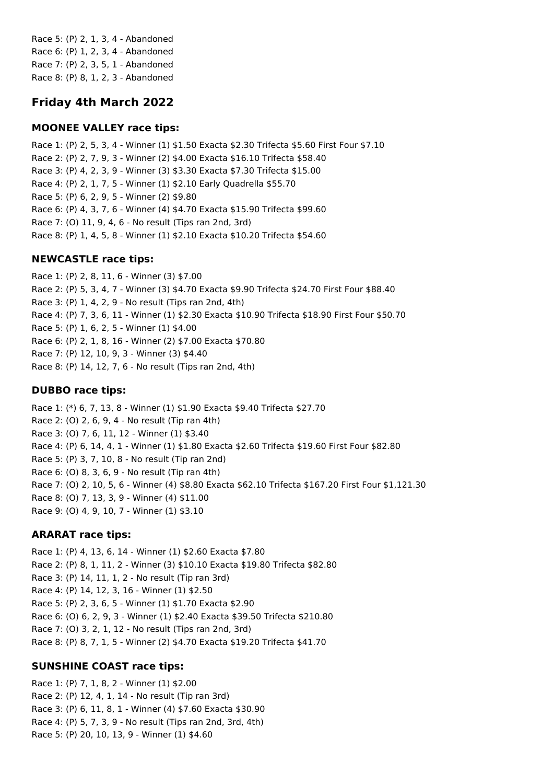Race 5: (P) 2, 1, 3, 4 - Abandoned Race 6: (P) 1, 2, 3, 4 - Abandoned Race 7: (P) 2, 3, 5, 1 - Abandoned Race 8: (P) 8, 1, 2, 3 - Abandoned

# **Friday 4th March 2022**

### **MOONEE VALLEY race tips:**

Race 1: (P) 2, 5, 3, 4 - Winner (1) \$1.50 Exacta \$2.30 Trifecta \$5.60 First Four \$7.10 Race 2: (P) 2, 7, 9, 3 - Winner (2) \$4.00 Exacta \$16.10 Trifecta \$58.40 Race 3: (P) 4, 2, 3, 9 - Winner (3) \$3.30 Exacta \$7.30 Trifecta \$15.00 Race 4: (P) 2, 1, 7, 5 - Winner (1) \$2.10 Early Quadrella \$55.70 Race 5: (P) 6, 2, 9, 5 - Winner (2) \$9.80 Race 6: (P) 4, 3, 7, 6 - Winner (4) \$4.70 Exacta \$15.90 Trifecta \$99.60 Race 7: (O) 11, 9, 4, 6 - No result (Tips ran 2nd, 3rd) Race 8: (P) 1, 4, 5, 8 - Winner (1) \$2.10 Exacta \$10.20 Trifecta \$54.60

### **NEWCASTLE race tips:**

Race 1: (P) 2, 8, 11, 6 - Winner (3) \$7.00 Race 2: (P) 5, 3, 4, 7 - Winner (3) \$4.70 Exacta \$9.90 Trifecta \$24.70 First Four \$88.40 Race 3: (P) 1, 4, 2, 9 - No result (Tips ran 2nd, 4th) Race 4: (P) 7, 3, 6, 11 - Winner (1) \$2.30 Exacta \$10.90 Trifecta \$18.90 First Four \$50.70 Race 5: (P) 1, 6, 2, 5 - Winner (1) \$4.00 Race 6: (P) 2, 1, 8, 16 - Winner (2) \$7.00 Exacta \$70.80 Race 7: (P) 12, 10, 9, 3 - Winner (3) \$4.40 Race 8: (P) 14, 12, 7, 6 - No result (Tips ran 2nd, 4th)

### **DUBBO race tips:**

Race 1: (\*) 6, 7, 13, 8 - Winner (1) \$1.90 Exacta \$9.40 Trifecta \$27.70 Race 2: (O) 2, 6, 9, 4 - No result (Tip ran 4th) Race 3: (O) 7, 6, 11, 12 - Winner (1) \$3.40 Race 4: (P) 6, 14, 4, 1 - Winner (1) \$1.80 Exacta \$2.60 Trifecta \$19.60 First Four \$82.80 Race 5: (P) 3, 7, 10, 8 - No result (Tip ran 2nd) Race 6: (O) 8, 3, 6, 9 - No result (Tip ran 4th) Race 7: (O) 2, 10, 5, 6 - Winner (4) \$8.80 Exacta \$62.10 Trifecta \$167.20 First Four \$1,121.30 Race 8: (O) 7, 13, 3, 9 - Winner (4) \$11.00 Race 9: (O) 4, 9, 10, 7 - Winner (1) \$3.10

### **ARARAT race tips:**

Race 1: (P) 4, 13, 6, 14 - Winner (1) \$2.60 Exacta \$7.80 Race 2: (P) 8, 1, 11, 2 - Winner (3) \$10.10 Exacta \$19.80 Trifecta \$82.80 Race 3: (P) 14, 11, 1, 2 - No result (Tip ran 3rd) Race 4: (P) 14, 12, 3, 16 - Winner (1) \$2.50 Race 5: (P) 2, 3, 6, 5 - Winner (1) \$1.70 Exacta \$2.90 Race 6: (O) 6, 2, 9, 3 - Winner (1) \$2.40 Exacta \$39.50 Trifecta \$210.80 Race 7: (O) 3, 2, 1, 12 - No result (Tips ran 2nd, 3rd) Race 8: (P) 8, 7, 1, 5 - Winner (2) \$4.70 Exacta \$19.20 Trifecta \$41.70

#### **SUNSHINE COAST race tips:**

Race 1: (P) 7, 1, 8, 2 - Winner (1) \$2.00 Race 2: (P) 12, 4, 1, 14 - No result (Tip ran 3rd) Race 3: (P) 6, 11, 8, 1 - Winner (4) \$7.60 Exacta \$30.90 Race 4: (P) 5, 7, 3, 9 - No result (Tips ran 2nd, 3rd, 4th) Race 5: (P) 20, 10, 13, 9 - Winner (1) \$4.60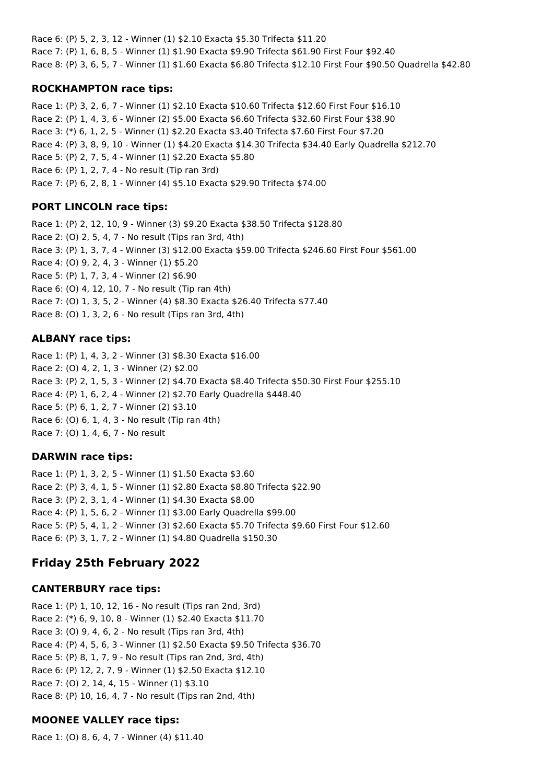Race 6: (P) 5, 2, 3, 12 - Winner (1) \$2.10 Exacta \$5.30 Trifecta \$11.20 Race 7: (P) 1, 6, 8, 5 - Winner (1) \$1.90 Exacta \$9.90 Trifecta \$61.90 First Four \$92.40 Race 8: (P) 3, 6, 5, 7 - Winner (1) \$1.60 Exacta \$6.80 Trifecta \$12.10 First Four \$90.50 Quadrella \$42.80

## **ROCKHAMPTON race tips:**

Race 1: (P) 3, 2, 6, 7 - Winner (1) \$2.10 Exacta \$10.60 Trifecta \$12.60 First Four \$16.10 Race 2: (P) 1, 4, 3, 6 - Winner (2) \$5.00 Exacta \$6.60 Trifecta \$32.60 First Four \$38.90 Race 3: (\*) 6, 1, 2, 5 - Winner (1) \$2.20 Exacta \$3.40 Trifecta \$7.60 First Four \$7.20 Race 4: (P) 3, 8, 9, 10 - Winner (1) \$4.20 Exacta \$14.30 Trifecta \$34.40 Early Quadrella \$212.70 Race 5: (P) 2, 7, 5, 4 - Winner (1) \$2.20 Exacta \$5.80 Race 6: (P) 1, 2, 7, 4 - No result (Tip ran 3rd) Race 7: (P) 6, 2, 8, 1 - Winner (4) \$5.10 Exacta \$29.90 Trifecta \$74.00

# **PORT LINCOLN race tips:**

Race 1: (P) 2, 12, 10, 9 - Winner (3) \$9.20 Exacta \$38.50 Trifecta \$128.80 Race 2: (O) 2, 5, 4, 7 - No result (Tips ran 3rd, 4th) Race 3: (P) 1, 3, 7, 4 - Winner (3) \$12.00 Exacta \$59.00 Trifecta \$246.60 First Four \$561.00 Race 4: (O) 9, 2, 4, 3 - Winner (1) \$5.20 Race 5: (P) 1, 7, 3, 4 - Winner (2) \$6.90 Race 6: (O) 4, 12, 10, 7 - No result (Tip ran 4th) Race 7: (O) 1, 3, 5, 2 - Winner (4) \$8.30 Exacta \$26.40 Trifecta \$77.40 Race 8: (O) 1, 3, 2, 6 - No result (Tips ran 3rd, 4th)

# **ALBANY race tips:**

Race 1: (P) 1, 4, 3, 2 - Winner (3) \$8.30 Exacta \$16.00 Race 2: (O) 4, 2, 1, 3 - Winner (2) \$2.00 Race 3: (P) 2, 1, 5, 3 - Winner (2) \$4.70 Exacta \$8.40 Trifecta \$50.30 First Four \$255.10 Race 4: (P) 1, 6, 2, 4 - Winner (2) \$2.70 Early Quadrella \$448.40 Race 5: (P) 6, 1, 2, 7 - Winner (2) \$3.10 Race 6: (O) 6, 1, 4, 3 - No result (Tip ran 4th) Race 7: (O) 1, 4, 6, 7 - No result

# **DARWIN race tips:**

Race 1: (P) 1, 3, 2, 5 - Winner (1) \$1.50 Exacta \$3.60 Race 2: (P) 3, 4, 1, 5 - Winner (1) \$2.80 Exacta \$8.80 Trifecta \$22.90 Race 3: (P) 2, 3, 1, 4 - Winner (1) \$4.30 Exacta \$8.00 Race 4: (P) 1, 5, 6, 2 - Winner (1) \$3.00 Early Quadrella \$99.00 Race 5: (P) 5, 4, 1, 2 - Winner (3) \$2.60 Exacta \$5.70 Trifecta \$9.60 First Four \$12.60 Race 6: (P) 3, 1, 7, 2 - Winner (1) \$4.80 Quadrella \$150.30

# **Friday 25th February 2022**

# **CANTERBURY race tips:**

Race 1: (P) 1, 10, 12, 16 - No result (Tips ran 2nd, 3rd) Race 2: (\*) 6, 9, 10, 8 - Winner (1) \$2.40 Exacta \$11.70 Race 3: (O) 9, 4, 6, 2 - No result (Tips ran 3rd, 4th) Race 4: (P) 4, 5, 6, 3 - Winner (1) \$2.50 Exacta \$9.50 Trifecta \$36.70 Race 5: (P) 8, 1, 7, 9 - No result (Tips ran 2nd, 3rd, 4th) Race 6: (P) 12, 2, 7, 9 - Winner (1) \$2.50 Exacta \$12.10 Race 7: (O) 2, 14, 4, 15 - Winner (1) \$3.10 Race 8: (P) 10, 16, 4, 7 - No result (Tips ran 2nd, 4th)

# **MOONEE VALLEY race tips:**

Race 1: (O) 8, 6, 4, 7 - Winner (4) \$11.40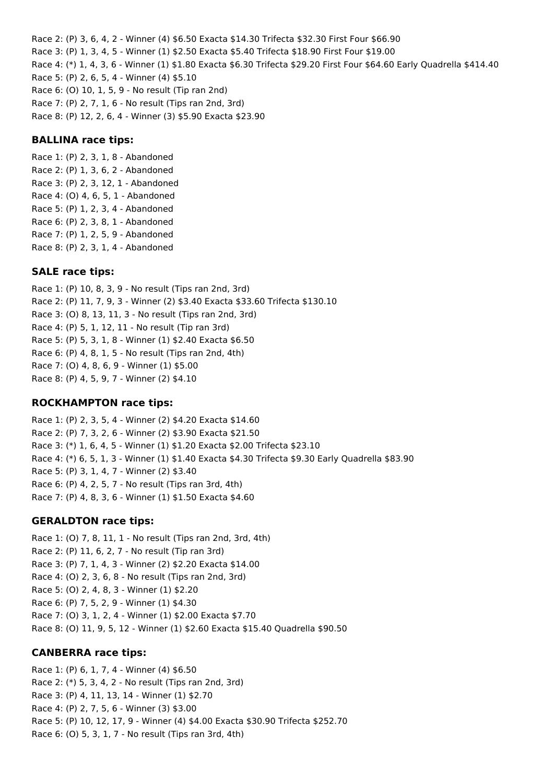Race 2: (P) 3, 6, 4, 2 - Winner (4) \$6.50 Exacta \$14.30 Trifecta \$32.30 First Four \$66.90 Race 3: (P) 1, 3, 4, 5 - Winner (1) \$2.50 Exacta \$5.40 Trifecta \$18.90 First Four \$19.00 Race 4: (\*) 1, 4, 3, 6 - Winner (1) \$1.80 Exacta \$6.30 Trifecta \$29.20 First Four \$64.60 Early Quadrella \$414.40 Race 5: (P) 2, 6, 5, 4 - Winner (4) \$5.10 Race 6: (O) 10, 1, 5, 9 - No result (Tip ran 2nd) Race 7: (P) 2, 7, 1, 6 - No result (Tips ran 2nd, 3rd) Race 8: (P) 12, 2, 6, 4 - Winner (3) \$5.90 Exacta \$23.90

### **BALLINA race tips:**

Race 1: (P) 2, 3, 1, 8 - Abandoned Race 2: (P) 1, 3, 6, 2 - Abandoned Race 3: (P) 2, 3, 12, 1 - Abandoned Race 4: (O) 4, 6, 5, 1 - Abandoned Race 5: (P) 1, 2, 3, 4 - Abandoned Race 6: (P) 2, 3, 8, 1 - Abandoned Race 7: (P) 1, 2, 5, 9 - Abandoned Race 8: (P) 2, 3, 1, 4 - Abandoned

### **SALE race tips:**

Race 1: (P) 10, 8, 3, 9 - No result (Tips ran 2nd, 3rd) Race 2: (P) 11, 7, 9, 3 - Winner (2) \$3.40 Exacta \$33.60 Trifecta \$130.10 Race 3: (O) 8, 13, 11, 3 - No result (Tips ran 2nd, 3rd) Race 4: (P) 5, 1, 12, 11 - No result (Tip ran 3rd) Race 5: (P) 5, 3, 1, 8 - Winner (1) \$2.40 Exacta \$6.50 Race 6: (P) 4, 8, 1, 5 - No result (Tips ran 2nd, 4th) Race 7: (O) 4, 8, 6, 9 - Winner (1) \$5.00 Race 8: (P) 4, 5, 9, 7 - Winner (2) \$4.10

#### **ROCKHAMPTON race tips:**

Race 1: (P) 2, 3, 5, 4 - Winner (2) \$4.20 Exacta \$14.60 Race 2: (P) 7, 3, 2, 6 - Winner (2) \$3.90 Exacta \$21.50 Race 3: (\*) 1, 6, 4, 5 - Winner (1) \$1.20 Exacta \$2.00 Trifecta \$23.10 Race 4: (\*) 6, 5, 1, 3 - Winner (1) \$1.40 Exacta \$4.30 Trifecta \$9.30 Early Quadrella \$83.90 Race 5: (P) 3, 1, 4, 7 - Winner (2) \$3.40 Race 6: (P) 4, 2, 5, 7 - No result (Tips ran 3rd, 4th) Race 7: (P) 4, 8, 3, 6 - Winner (1) \$1.50 Exacta \$4.60

#### **GERALDTON race tips:**

Race 1: (O) 7, 8, 11, 1 - No result (Tips ran 2nd, 3rd, 4th) Race 2: (P) 11, 6, 2, 7 - No result (Tip ran 3rd) Race 3: (P) 7, 1, 4, 3 - Winner (2) \$2.20 Exacta \$14.00 Race 4: (O) 2, 3, 6, 8 - No result (Tips ran 2nd, 3rd) Race 5: (O) 2, 4, 8, 3 - Winner (1) \$2.20 Race 6: (P) 7, 5, 2, 9 - Winner (1) \$4.30 Race 7: (O) 3, 1, 2, 4 - Winner (1) \$2.00 Exacta \$7.70 Race 8: (O) 11, 9, 5, 12 - Winner (1) \$2.60 Exacta \$15.40 Quadrella \$90.50

#### **CANBERRA race tips:**

Race 1: (P) 6, 1, 7, 4 - Winner (4) \$6.50 Race 2: (\*) 5, 3, 4, 2 - No result (Tips ran 2nd, 3rd) Race 3: (P) 4, 11, 13, 14 - Winner (1) \$2.70 Race 4: (P) 2, 7, 5, 6 - Winner (3) \$3.00 Race 5: (P) 10, 12, 17, 9 - Winner (4) \$4.00 Exacta \$30.90 Trifecta \$252.70 Race 6: (O) 5, 3, 1, 7 - No result (Tips ran 3rd, 4th)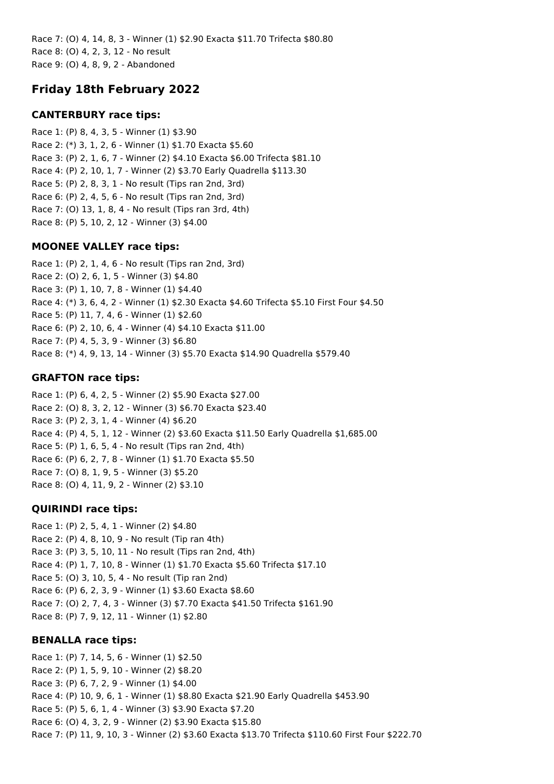Race 7: (O) 4, 14, 8, 3 - Winner (1) \$2.90 Exacta \$11.70 Trifecta \$80.80 Race 8: (O) 4, 2, 3, 12 - No result Race 9: (O) 4, 8, 9, 2 - Abandoned

# **Friday 18th February 2022**

## **CANTERBURY race tips:**

Race 1: (P) 8, 4, 3, 5 - Winner (1) \$3.90 Race 2: (\*) 3, 1, 2, 6 - Winner (1) \$1.70 Exacta \$5.60 Race 3: (P) 2, 1, 6, 7 - Winner (2) \$4.10 Exacta \$6.00 Trifecta \$81.10 Race 4: (P) 2, 10, 1, 7 - Winner (2) \$3.70 Early Quadrella \$113.30 Race 5: (P) 2, 8, 3, 1 - No result (Tips ran 2nd, 3rd) Race 6: (P) 2, 4, 5, 6 - No result (Tips ran 2nd, 3rd) Race 7: (O) 13, 1, 8, 4 - No result (Tips ran 3rd, 4th) Race 8: (P) 5, 10, 2, 12 - Winner (3) \$4.00

### **MOONEE VALLEY race tips:**

Race 1: (P) 2, 1, 4, 6 - No result (Tips ran 2nd, 3rd) Race 2: (O) 2, 6, 1, 5 - Winner (3) \$4.80 Race 3: (P) 1, 10, 7, 8 - Winner (1) \$4.40 Race 4: (\*) 3, 6, 4, 2 - Winner (1) \$2.30 Exacta \$4.60 Trifecta \$5.10 First Four \$4.50 Race 5: (P) 11, 7, 4, 6 - Winner (1) \$2.60 Race 6: (P) 2, 10, 6, 4 - Winner (4) \$4.10 Exacta \$11.00 Race 7: (P) 4, 5, 3, 9 - Winner (3) \$6.80 Race 8: (\*) 4, 9, 13, 14 - Winner (3) \$5.70 Exacta \$14.90 Quadrella \$579.40

## **GRAFTON race tips:**

Race 1: (P) 6, 4, 2, 5 - Winner (2) \$5.90 Exacta \$27.00 Race 2: (O) 8, 3, 2, 12 - Winner (3) \$6.70 Exacta \$23.40 Race 3: (P) 2, 3, 1, 4 - Winner (4) \$6.20 Race 4: (P) 4, 5, 1, 12 - Winner (2) \$3.60 Exacta \$11.50 Early Quadrella \$1,685.00 Race 5: (P) 1, 6, 5, 4 - No result (Tips ran 2nd, 4th) Race 6: (P) 6, 2, 7, 8 - Winner (1) \$1.70 Exacta \$5.50 Race 7: (O) 8, 1, 9, 5 - Winner (3) \$5.20 Race 8: (O) 4, 11, 9, 2 - Winner (2) \$3.10

## **QUIRINDI race tips:**

Race 1: (P) 2, 5, 4, 1 - Winner (2) \$4.80 Race 2: (P) 4, 8, 10, 9 - No result (Tip ran 4th) Race 3: (P) 3, 5, 10, 11 - No result (Tips ran 2nd, 4th) Race 4: (P) 1, 7, 10, 8 - Winner (1) \$1.70 Exacta \$5.60 Trifecta \$17.10 Race 5: (O) 3, 10, 5, 4 - No result (Tip ran 2nd) Race 6: (P) 6, 2, 3, 9 - Winner (1) \$3.60 Exacta \$8.60 Race 7: (O) 2, 7, 4, 3 - Winner (3) \$7.70 Exacta \$41.50 Trifecta \$161.90 Race 8: (P) 7, 9, 12, 11 - Winner (1) \$2.80

### **BENALLA race tips:**

Race 1: (P) 7, 14, 5, 6 - Winner (1) \$2.50 Race 2: (P) 1, 5, 9, 10 - Winner (2) \$8.20 Race 3: (P) 6, 7, 2, 9 - Winner (1) \$4.00 Race 4: (P) 10, 9, 6, 1 - Winner (1) \$8.80 Exacta \$21.90 Early Quadrella \$453.90 Race 5: (P) 5, 6, 1, 4 - Winner (3) \$3.90 Exacta \$7.20 Race 6: (O) 4, 3, 2, 9 - Winner (2) \$3.90 Exacta \$15.80 Race 7: (P) 11, 9, 10, 3 - Winner (2) \$3.60 Exacta \$13.70 Trifecta \$110.60 First Four \$222.70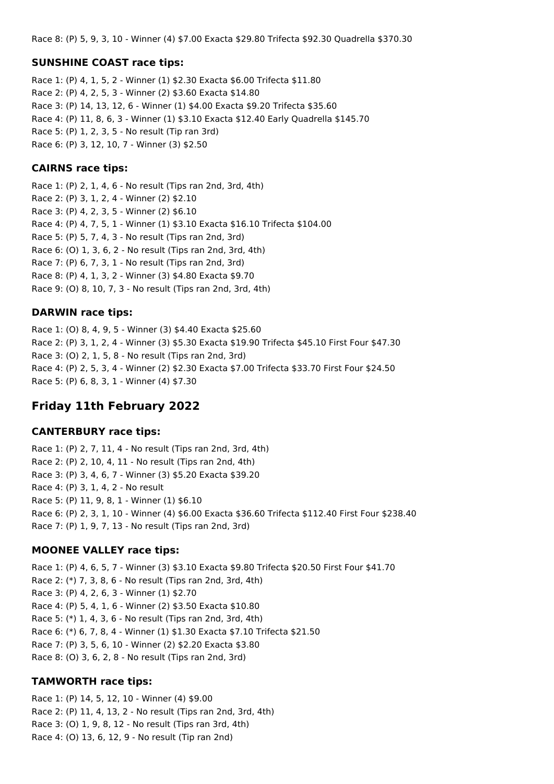Race 8: (P) 5, 9, 3, 10 - Winner (4) \$7.00 Exacta \$29.80 Trifecta \$92.30 Quadrella \$370.30

### **SUNSHINE COAST race tips:**

Race 1: (P) 4, 1, 5, 2 - Winner (1) \$2.30 Exacta \$6.00 Trifecta \$11.80 Race 2: (P) 4, 2, 5, 3 - Winner (2) \$3.60 Exacta \$14.80 Race 3: (P) 14, 13, 12, 6 - Winner (1) \$4.00 Exacta \$9.20 Trifecta \$35.60 Race 4: (P) 11, 8, 6, 3 - Winner (1) \$3.10 Exacta \$12.40 Early Quadrella \$145.70 Race 5: (P) 1, 2, 3, 5 - No result (Tip ran 3rd) Race 6: (P) 3, 12, 10, 7 - Winner (3) \$2.50

### **CAIRNS race tips:**

Race 1: (P) 2, 1, 4, 6 - No result (Tips ran 2nd, 3rd, 4th) Race 2: (P) 3, 1, 2, 4 - Winner (2) \$2.10 Race 3: (P) 4, 2, 3, 5 - Winner (2) \$6.10 Race 4: (P) 4, 7, 5, 1 - Winner (1) \$3.10 Exacta \$16.10 Trifecta \$104.00 Race 5: (P) 5, 7, 4, 3 - No result (Tips ran 2nd, 3rd) Race 6: (O) 1, 3, 6, 2 - No result (Tips ran 2nd, 3rd, 4th) Race 7: (P) 6, 7, 3, 1 - No result (Tips ran 2nd, 3rd) Race 8: (P) 4, 1, 3, 2 - Winner (3) \$4.80 Exacta \$9.70 Race 9: (O) 8, 10, 7, 3 - No result (Tips ran 2nd, 3rd, 4th)

### **DARWIN race tips:**

Race 1: (O) 8, 4, 9, 5 - Winner (3) \$4.40 Exacta \$25.60 Race 2: (P) 3, 1, 2, 4 - Winner (3) \$5.30 Exacta \$19.90 Trifecta \$45.10 First Four \$47.30 Race 3: (O) 2, 1, 5, 8 - No result (Tips ran 2nd, 3rd) Race 4: (P) 2, 5, 3, 4 - Winner (2) \$2.30 Exacta \$7.00 Trifecta \$33.70 First Four \$24.50 Race 5: (P) 6, 8, 3, 1 - Winner (4) \$7.30

## **Friday 11th February 2022**

#### **CANTERBURY race tips:**

Race 1: (P) 2, 7, 11, 4 - No result (Tips ran 2nd, 3rd, 4th) Race 2: (P) 2, 10, 4, 11 - No result (Tips ran 2nd, 4th) Race 3: (P) 3, 4, 6, 7 - Winner (3) \$5.20 Exacta \$39.20 Race 4: (P) 3, 1, 4, 2 - No result Race 5: (P) 11, 9, 8, 1 - Winner (1) \$6.10 Race 6: (P) 2, 3, 1, 10 - Winner (4) \$6.00 Exacta \$36.60 Trifecta \$112.40 First Four \$238.40 Race 7: (P) 1, 9, 7, 13 - No result (Tips ran 2nd, 3rd)

## **MOONEE VALLEY race tips:**

Race 1: (P) 4, 6, 5, 7 - Winner (3) \$3.10 Exacta \$9.80 Trifecta \$20.50 First Four \$41.70 Race 2: (\*) 7, 3, 8, 6 - No result (Tips ran 2nd, 3rd, 4th) Race 3: (P) 4, 2, 6, 3 - Winner (1) \$2.70 Race 4: (P) 5, 4, 1, 6 - Winner (2) \$3.50 Exacta \$10.80 Race 5: (\*) 1, 4, 3, 6 - No result (Tips ran 2nd, 3rd, 4th) Race 6: (\*) 6, 7, 8, 4 - Winner (1) \$1.30 Exacta \$7.10 Trifecta \$21.50 Race 7: (P) 3, 5, 6, 10 - Winner (2) \$2.20 Exacta \$3.80 Race 8: (O) 3, 6, 2, 8 - No result (Tips ran 2nd, 3rd)

### **TAMWORTH race tips:**

Race 1: (P) 14, 5, 12, 10 - Winner (4) \$9.00 Race 2: (P) 11, 4, 13, 2 - No result (Tips ran 2nd, 3rd, 4th) Race 3: (O) 1, 9, 8, 12 - No result (Tips ran 3rd, 4th) Race 4: (O) 13, 6, 12, 9 - No result (Tip ran 2nd)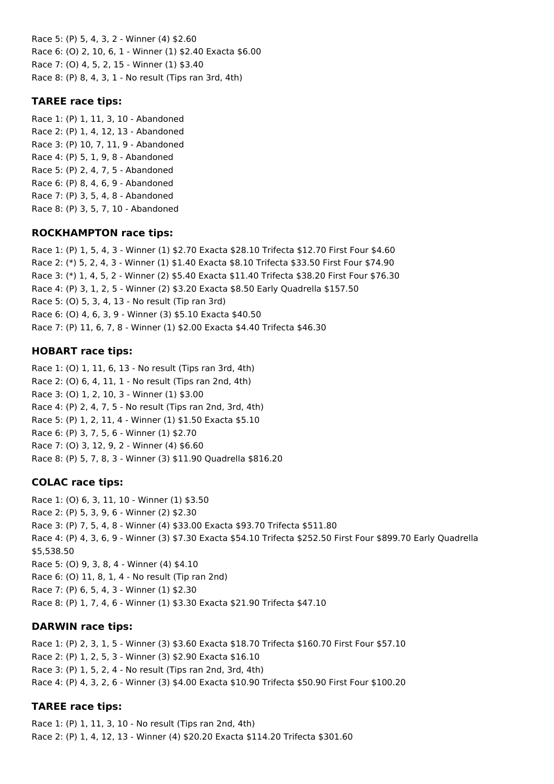Race 5: (P) 5, 4, 3, 2 - Winner (4) \$2.60 Race 6: (O) 2, 10, 6, 1 - Winner (1) \$2.40 Exacta \$6.00 Race 7: (O) 4, 5, 2, 15 - Winner (1) \$3.40 Race 8: (P) 8, 4, 3, 1 - No result (Tips ran 3rd, 4th)

### **TAREE race tips:**

Race 1: (P) 1, 11, 3, 10 - Abandoned Race 2: (P) 1, 4, 12, 13 - Abandoned Race 3: (P) 10, 7, 11, 9 - Abandoned Race 4: (P) 5, 1, 9, 8 - Abandoned Race 5: (P) 2, 4, 7, 5 - Abandoned Race 6: (P) 8, 4, 6, 9 - Abandoned Race 7: (P) 3, 5, 4, 8 - Abandoned Race 8: (P) 3, 5, 7, 10 - Abandoned

### **ROCKHAMPTON race tips:**

Race 1: (P) 1, 5, 4, 3 - Winner (1) \$2.70 Exacta \$28.10 Trifecta \$12.70 First Four \$4.60 Race 2: (\*) 5, 2, 4, 3 - Winner (1) \$1.40 Exacta \$8.10 Trifecta \$33.50 First Four \$74.90 Race 3: (\*) 1, 4, 5, 2 - Winner (2) \$5.40 Exacta \$11.40 Trifecta \$38.20 First Four \$76.30 Race 4: (P) 3, 1, 2, 5 - Winner (2) \$3.20 Exacta \$8.50 Early Quadrella \$157.50 Race 5: (O) 5, 3, 4, 13 - No result (Tip ran 3rd) Race 6: (O) 4, 6, 3, 9 - Winner (3) \$5.10 Exacta \$40.50 Race 7: (P) 11, 6, 7, 8 - Winner (1) \$2.00 Exacta \$4.40 Trifecta \$46.30

## **HOBART race tips:**

Race 1: (O) 1, 11, 6, 13 - No result (Tips ran 3rd, 4th) Race 2: (O) 6, 4, 11, 1 - No result (Tips ran 2nd, 4th) Race 3: (O) 1, 2, 10, 3 - Winner (1) \$3.00 Race 4: (P) 2, 4, 7, 5 - No result (Tips ran 2nd, 3rd, 4th) Race 5: (P) 1, 2, 11, 4 - Winner (1) \$1.50 Exacta \$5.10 Race 6: (P) 3, 7, 5, 6 - Winner (1) \$2.70 Race 7: (O) 3, 12, 9, 2 - Winner (4) \$6.60 Race 8: (P) 5, 7, 8, 3 - Winner (3) \$11.90 Quadrella \$816.20

## **COLAC race tips:**

Race 1: (O) 6, 3, 11, 10 - Winner (1) \$3.50 Race 2: (P) 5, 3, 9, 6 - Winner (2) \$2.30 Race 3: (P) 7, 5, 4, 8 - Winner (4) \$33.00 Exacta \$93.70 Trifecta \$511.80 Race 4: (P) 4, 3, 6, 9 - Winner (3) \$7.30 Exacta \$54.10 Trifecta \$252.50 First Four \$899.70 Early Quadrella \$5,538.50 Race 5: (O) 9, 3, 8, 4 - Winner (4) \$4.10 Race 6: (O) 11, 8, 1, 4 - No result (Tip ran 2nd) Race 7: (P) 6, 5, 4, 3 - Winner (1) \$2.30 Race 8: (P) 1, 7, 4, 6 - Winner (1) \$3.30 Exacta \$21.90 Trifecta \$47.10

### **DARWIN race tips:**

Race 1: (P) 2, 3, 1, 5 - Winner (3) \$3.60 Exacta \$18.70 Trifecta \$160.70 First Four \$57.10 Race 2: (P) 1, 2, 5, 3 - Winner (3) \$2.90 Exacta \$16.10 Race 3: (P) 1, 5, 2, 4 - No result (Tips ran 2nd, 3rd, 4th) Race 4: (P) 4, 3, 2, 6 - Winner (3) \$4.00 Exacta \$10.90 Trifecta \$50.90 First Four \$100.20

## **TAREE race tips:**

Race 1: (P) 1, 11, 3, 10 - No result (Tips ran 2nd, 4th) Race 2: (P) 1, 4, 12, 13 - Winner (4) \$20.20 Exacta \$114.20 Trifecta \$301.60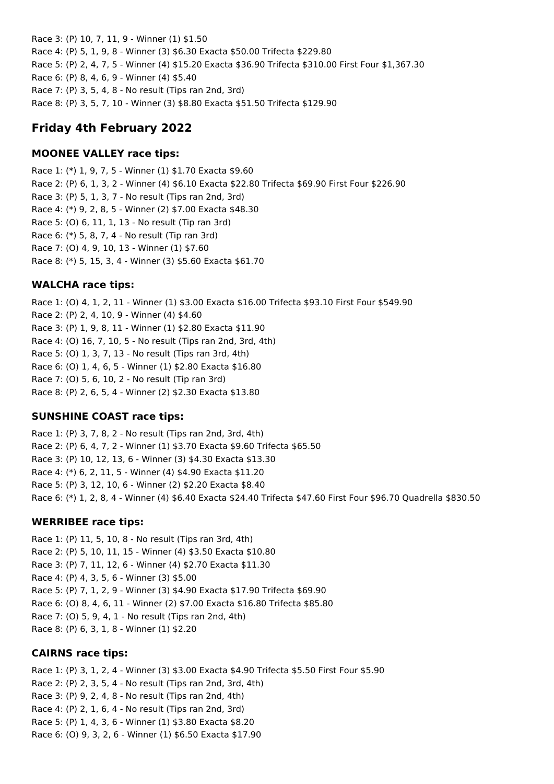Race 3: (P) 10, 7, 11, 9 - Winner (1) \$1.50 Race 4: (P) 5, 1, 9, 8 - Winner (3) \$6.30 Exacta \$50.00 Trifecta \$229.80 Race 5: (P) 2, 4, 7, 5 - Winner (4) \$15.20 Exacta \$36.90 Trifecta \$310.00 First Four \$1,367.30 Race 6: (P) 8, 4, 6, 9 - Winner (4) \$5.40 Race 7: (P) 3, 5, 4, 8 - No result (Tips ran 2nd, 3rd) Race 8: (P) 3, 5, 7, 10 - Winner (3) \$8.80 Exacta \$51.50 Trifecta \$129.90

# **Friday 4th February 2022**

## **MOONEE VALLEY race tips:**

Race 1: (\*) 1, 9, 7, 5 - Winner (1) \$1.70 Exacta \$9.60 Race 2: (P) 6, 1, 3, 2 - Winner (4) \$6.10 Exacta \$22.80 Trifecta \$69.90 First Four \$226.90 Race 3: (P) 5, 1, 3, 7 - No result (Tips ran 2nd, 3rd) Race 4: (\*) 9, 2, 8, 5 - Winner (2) \$7.00 Exacta \$48.30 Race 5: (O) 6, 11, 1, 13 - No result (Tip ran 3rd) Race 6: (\*) 5, 8, 7, 4 - No result (Tip ran 3rd) Race 7: (O) 4, 9, 10, 13 - Winner (1) \$7.60 Race 8: (\*) 5, 15, 3, 4 - Winner (3) \$5.60 Exacta \$61.70

# **WALCHA race tips:**

Race 1: (O) 4, 1, 2, 11 - Winner (1) \$3.00 Exacta \$16.00 Trifecta \$93.10 First Four \$549.90 Race 2: (P) 2, 4, 10, 9 - Winner (4) \$4.60 Race 3: (P) 1, 9, 8, 11 - Winner (1) \$2.80 Exacta \$11.90 Race 4: (O) 16, 7, 10, 5 - No result (Tips ran 2nd, 3rd, 4th) Race 5: (O) 1, 3, 7, 13 - No result (Tips ran 3rd, 4th) Race 6: (O) 1, 4, 6, 5 - Winner (1) \$2.80 Exacta \$16.80 Race 7: (O) 5, 6, 10, 2 - No result (Tip ran 3rd) Race 8: (P) 2, 6, 5, 4 - Winner (2) \$2.30 Exacta \$13.80

# **SUNSHINE COAST race tips:**

Race 1: (P) 3, 7, 8, 2 - No result (Tips ran 2nd, 3rd, 4th) Race 2: (P) 6, 4, 7, 2 - Winner (1) \$3.70 Exacta \$9.60 Trifecta \$65.50 Race 3: (P) 10, 12, 13, 6 - Winner (3) \$4.30 Exacta \$13.30 Race 4: (\*) 6, 2, 11, 5 - Winner (4) \$4.90 Exacta \$11.20 Race 5: (P) 3, 12, 10, 6 - Winner (2) \$2.20 Exacta \$8.40 Race 6: (\*) 1, 2, 8, 4 - Winner (4) \$6.40 Exacta \$24.40 Trifecta \$47.60 First Four \$96.70 Quadrella \$830.50

# **WERRIBEE race tips:**

Race 1: (P) 11, 5, 10, 8 - No result (Tips ran 3rd, 4th) Race 2: (P) 5, 10, 11, 15 - Winner (4) \$3.50 Exacta \$10.80 Race 3: (P) 7, 11, 12, 6 - Winner (4) \$2.70 Exacta \$11.30 Race 4: (P) 4, 3, 5, 6 - Winner (3) \$5.00 Race 5: (P) 7, 1, 2, 9 - Winner (3) \$4.90 Exacta \$17.90 Trifecta \$69.90 Race 6: (O) 8, 4, 6, 11 - Winner (2) \$7.00 Exacta \$16.80 Trifecta \$85.80 Race 7: (O) 5, 9, 4, 1 - No result (Tips ran 2nd, 4th) Race 8: (P) 6, 3, 1, 8 - Winner (1) \$2.20

## **CAIRNS race tips:**

Race 1: (P) 3, 1, 2, 4 - Winner (3) \$3.00 Exacta \$4.90 Trifecta \$5.50 First Four \$5.90 Race 2: (P) 2, 3, 5, 4 - No result (Tips ran 2nd, 3rd, 4th) Race 3: (P) 9, 2, 4, 8 - No result (Tips ran 2nd, 4th) Race 4: (P) 2, 1, 6, 4 - No result (Tips ran 2nd, 3rd) Race 5: (P) 1, 4, 3, 6 - Winner (1) \$3.80 Exacta \$8.20 Race 6: (O) 9, 3, 2, 6 - Winner (1) \$6.50 Exacta \$17.90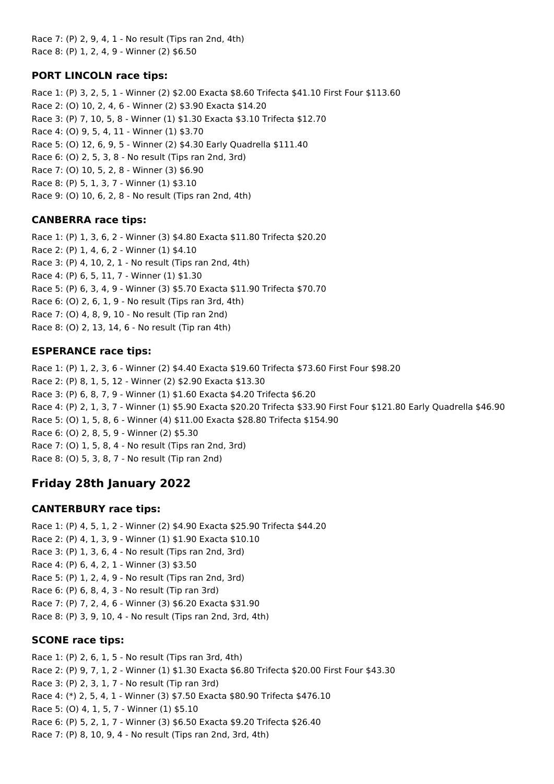Race 7: (P) 2, 9, 4, 1 - No result (Tips ran 2nd, 4th) Race 8: (P) 1, 2, 4, 9 - Winner (2) \$6.50

## **PORT LINCOLN race tips:**

Race 1: (P) 3, 2, 5, 1 - Winner (2) \$2.00 Exacta \$8.60 Trifecta \$41.10 First Four \$113.60 Race 2: (O) 10, 2, 4, 6 - Winner (2) \$3.90 Exacta \$14.20 Race 3: (P) 7, 10, 5, 8 - Winner (1) \$1.30 Exacta \$3.10 Trifecta \$12.70 Race 4: (O) 9, 5, 4, 11 - Winner (1) \$3.70 Race 5: (O) 12, 6, 9, 5 - Winner (2) \$4.30 Early Quadrella \$111.40 Race 6: (O) 2, 5, 3, 8 - No result (Tips ran 2nd, 3rd) Race 7: (O) 10, 5, 2, 8 - Winner (3) \$6.90 Race 8: (P) 5, 1, 3, 7 - Winner (1) \$3.10 Race 9: (O) 10, 6, 2, 8 - No result (Tips ran 2nd, 4th)

## **CANBERRA race tips:**

Race 1: (P) 1, 3, 6, 2 - Winner (3) \$4.80 Exacta \$11.80 Trifecta \$20.20 Race 2: (P) 1, 4, 6, 2 - Winner (1) \$4.10 Race 3: (P) 4, 10, 2, 1 - No result (Tips ran 2nd, 4th) Race 4: (P) 6, 5, 11, 7 - Winner (1) \$1.30 Race 5: (P) 6, 3, 4, 9 - Winner (3) \$5.70 Exacta \$11.90 Trifecta \$70.70 Race 6: (O) 2, 6, 1, 9 - No result (Tips ran 3rd, 4th) Race 7: (O) 4, 8, 9, 10 - No result (Tip ran 2nd) Race 8: (O) 2, 13, 14, 6 - No result (Tip ran 4th)

## **ESPERANCE race tips:**

Race 1: (P) 1, 2, 3, 6 - Winner (2) \$4.40 Exacta \$19.60 Trifecta \$73.60 First Four \$98.20 Race 2: (P) 8, 1, 5, 12 - Winner (2) \$2.90 Exacta \$13.30 Race 3: (P) 6, 8, 7, 9 - Winner (1) \$1.60 Exacta \$4.20 Trifecta \$6.20 Race 4: (P) 2, 1, 3, 7 - Winner (1) \$5.90 Exacta \$20.20 Trifecta \$33.90 First Four \$121.80 Early Quadrella \$46.90 Race 5: (O) 1, 5, 8, 6 - Winner (4) \$11.00 Exacta \$28.80 Trifecta \$154.90 Race 6: (O) 2, 8, 5, 9 - Winner (2) \$5.30 Race 7: (O) 1, 5, 8, 4 - No result (Tips ran 2nd, 3rd) Race 8: (O) 5, 3, 8, 7 - No result (Tip ran 2nd)

# **Friday 28th January 2022**

## **CANTERBURY race tips:**

Race 1: (P) 4, 5, 1, 2 - Winner (2) \$4.90 Exacta \$25.90 Trifecta \$44.20 Race 2: (P) 4, 1, 3, 9 - Winner (1) \$1.90 Exacta \$10.10 Race 3: (P) 1, 3, 6, 4 - No result (Tips ran 2nd, 3rd) Race 4: (P) 6, 4, 2, 1 - Winner (3) \$3.50 Race 5: (P) 1, 2, 4, 9 - No result (Tips ran 2nd, 3rd) Race 6: (P) 6, 8, 4, 3 - No result (Tip ran 3rd) Race 7: (P) 7, 2, 4, 6 - Winner (3) \$6.20 Exacta \$31.90 Race 8: (P) 3, 9, 10, 4 - No result (Tips ran 2nd, 3rd, 4th)

## **SCONE race tips:**

Race 1: (P) 2, 6, 1, 5 - No result (Tips ran 3rd, 4th) Race 2: (P) 9, 7, 1, 2 - Winner (1) \$1.30 Exacta \$6.80 Trifecta \$20.00 First Four \$43.30 Race 3: (P) 2, 3, 1, 7 - No result (Tip ran 3rd) Race 4: (\*) 2, 5, 4, 1 - Winner (3) \$7.50 Exacta \$80.90 Trifecta \$476.10 Race 5: (O) 4, 1, 5, 7 - Winner (1) \$5.10 Race 6: (P) 5, 2, 1, 7 - Winner (3) \$6.50 Exacta \$9.20 Trifecta \$26.40 Race 7: (P) 8, 10, 9, 4 - No result (Tips ran 2nd, 3rd, 4th)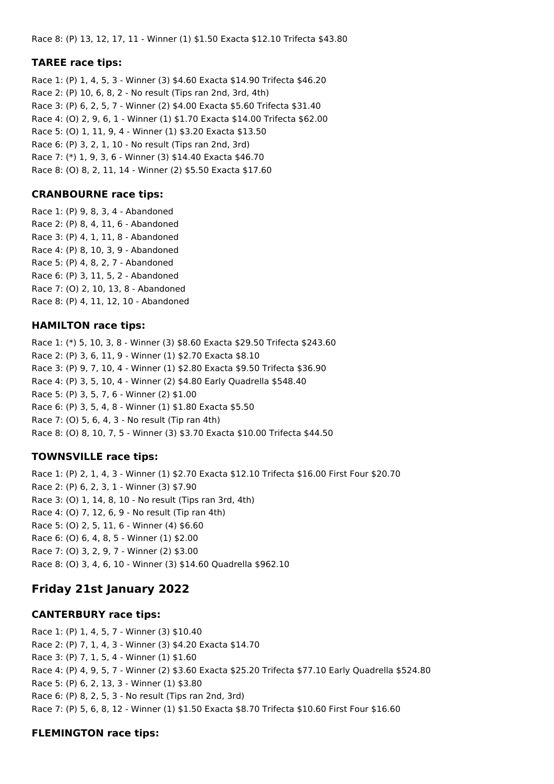Race 8: (P) 13, 12, 17, 11 - Winner (1) \$1.50 Exacta \$12.10 Trifecta \$43.80

### **TAREE race tips:**

Race 1: (P) 1, 4, 5, 3 - Winner (3) \$4.60 Exacta \$14.90 Trifecta \$46.20 Race 2: (P) 10, 6, 8, 2 - No result (Tips ran 2nd, 3rd, 4th) Race 3: (P) 6, 2, 5, 7 - Winner (2) \$4.00 Exacta \$5.60 Trifecta \$31.40 Race 4: (O) 2, 9, 6, 1 - Winner (1) \$1.70 Exacta \$14.00 Trifecta \$62.00 Race 5: (O) 1, 11, 9, 4 - Winner (1) \$3.20 Exacta \$13.50 Race 6: (P) 3, 2, 1, 10 - No result (Tips ran 2nd, 3rd) Race 7: (\*) 1, 9, 3, 6 - Winner (3) \$14.40 Exacta \$46.70 Race 8: (O) 8, 2, 11, 14 - Winner (2) \$5.50 Exacta \$17.60

### **CRANBOURNE race tips:**

Race 1: (P) 9, 8, 3, 4 - Abandoned Race 2: (P) 8, 4, 11, 6 - Abandoned Race 3: (P) 4, 1, 11, 8 - Abandoned Race 4: (P) 8, 10, 3, 9 - Abandoned Race 5: (P) 4, 8, 2, 7 - Abandoned Race 6: (P) 3, 11, 5, 2 - Abandoned Race 7: (O) 2, 10, 13, 8 - Abandoned Race 8: (P) 4, 11, 12, 10 - Abandoned

### **HAMILTON race tips:**

Race 1: (\*) 5, 10, 3, 8 - Winner (3) \$8.60 Exacta \$29.50 Trifecta \$243.60 Race 2: (P) 3, 6, 11, 9 - Winner (1) \$2.70 Exacta \$8.10 Race 3: (P) 9, 7, 10, 4 - Winner (1) \$2.80 Exacta \$9.50 Trifecta \$36.90 Race 4: (P) 3, 5, 10, 4 - Winner (2) \$4.80 Early Quadrella \$548.40 Race 5: (P) 3, 5, 7, 6 - Winner (2) \$1.00 Race 6: (P) 3, 5, 4, 8 - Winner (1) \$1.80 Exacta \$5.50 Race 7: (O) 5, 6, 4, 3 - No result (Tip ran 4th) Race 8: (O) 8, 10, 7, 5 - Winner (3) \$3.70 Exacta \$10.00 Trifecta \$44.50

### **TOWNSVILLE race tips:**

Race 1: (P) 2, 1, 4, 3 - Winner (1) \$2.70 Exacta \$12.10 Trifecta \$16.00 First Four \$20.70 Race 2: (P) 6, 2, 3, 1 - Winner (3) \$7.90 Race 3: (O) 1, 14, 8, 10 - No result (Tips ran 3rd, 4th) Race 4: (O) 7, 12, 6, 9 - No result (Tip ran 4th) Race 5: (O) 2, 5, 11, 6 - Winner (4) \$6.60 Race 6: (O) 6, 4, 8, 5 - Winner (1) \$2.00 Race 7: (O) 3, 2, 9, 7 - Winner (2) \$3.00 Race 8: (O) 3, 4, 6, 10 - Winner (3) \$14.60 Quadrella \$962.10

# **Friday 21st January 2022**

### **CANTERBURY race tips:**

Race 1: (P) 1, 4, 5, 7 - Winner (3) \$10.40 Race 2: (P) 7, 1, 4, 3 - Winner (3) \$4.20 Exacta \$14.70 Race 3: (P) 7, 1, 5, 4 - Winner (1) \$1.60 Race 4: (P) 4, 9, 5, 7 - Winner (2) \$3.60 Exacta \$25.20 Trifecta \$77.10 Early Quadrella \$524.80 Race 5: (P) 6, 2, 13, 3 - Winner (1) \$3.80 Race 6: (P) 8, 2, 5, 3 - No result (Tips ran 2nd, 3rd) Race 7: (P) 5, 6, 8, 12 - Winner (1) \$1.50 Exacta \$8.70 Trifecta \$10.60 First Four \$16.60

### **FLEMINGTON race tips:**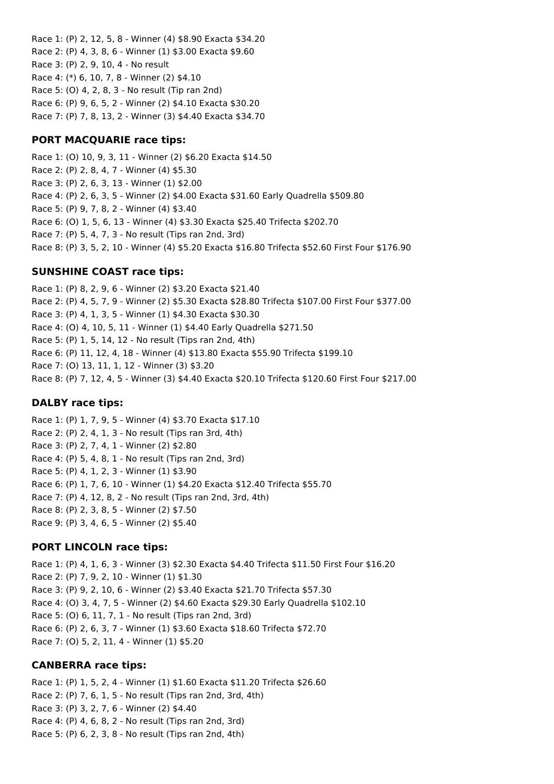Race 1: (P) 2, 12, 5, 8 - Winner (4) \$8.90 Exacta \$34.20 Race 2: (P) 4, 3, 8, 6 - Winner (1) \$3.00 Exacta \$9.60 Race 3: (P) 2, 9, 10, 4 - No result Race 4: (\*) 6, 10, 7, 8 - Winner (2) \$4.10 Race 5: (O) 4, 2, 8, 3 - No result (Tip ran 2nd) Race 6: (P) 9, 6, 5, 2 - Winner (2) \$4.10 Exacta \$30.20 Race 7: (P) 7, 8, 13, 2 - Winner (3) \$4.40 Exacta \$34.70

### **PORT MACQUARIE race tips:**

Race 1: (O) 10, 9, 3, 11 - Winner (2) \$6.20 Exacta \$14.50 Race 2: (P) 2, 8, 4, 7 - Winner (4) \$5.30 Race 3: (P) 2, 6, 3, 13 - Winner (1) \$2.00 Race 4: (P) 2, 6, 3, 5 - Winner (2) \$4.00 Exacta \$31.60 Early Quadrella \$509.80 Race 5: (P) 9, 7, 8, 2 - Winner (4) \$3.40 Race 6: (O) 1, 5, 6, 13 - Winner (4) \$3.30 Exacta \$25.40 Trifecta \$202.70 Race 7: (P) 5, 4, 7, 3 - No result (Tips ran 2nd, 3rd) Race 8: (P) 3, 5, 2, 10 - Winner (4) \$5.20 Exacta \$16.80 Trifecta \$52.60 First Four \$176.90

### **SUNSHINE COAST race tips:**

Race 1: (P) 8, 2, 9, 6 - Winner (2) \$3.20 Exacta \$21.40 Race 2: (P) 4, 5, 7, 9 - Winner (2) \$5.30 Exacta \$28.80 Trifecta \$107.00 First Four \$377.00 Race 3: (P) 4, 1, 3, 5 - Winner (1) \$4.30 Exacta \$30.30 Race 4: (O) 4, 10, 5, 11 - Winner (1) \$4.40 Early Quadrella \$271.50 Race 5: (P) 1, 5, 14, 12 - No result (Tips ran 2nd, 4th) Race 6: (P) 11, 12, 4, 18 - Winner (4) \$13.80 Exacta \$55.90 Trifecta \$199.10 Race 7: (O) 13, 11, 1, 12 - Winner (3) \$3.20 Race 8: (P) 7, 12, 4, 5 - Winner (3) \$4.40 Exacta \$20.10 Trifecta \$120.60 First Four \$217.00

### **DALBY race tips:**

Race 1: (P) 1, 7, 9, 5 - Winner (4) \$3.70 Exacta \$17.10 Race 2: (P) 2, 4, 1, 3 - No result (Tips ran 3rd, 4th) Race 3: (P) 2, 7, 4, 1 - Winner (2) \$2.80 Race 4: (P) 5, 4, 8, 1 - No result (Tips ran 2nd, 3rd) Race 5: (P) 4, 1, 2, 3 - Winner (1) \$3.90 Race 6: (P) 1, 7, 6, 10 - Winner (1) \$4.20 Exacta \$12.40 Trifecta \$55.70 Race 7: (P) 4, 12, 8, 2 - No result (Tips ran 2nd, 3rd, 4th) Race 8: (P) 2, 3, 8, 5 - Winner (2) \$7.50 Race 9: (P) 3, 4, 6, 5 - Winner (2) \$5.40

### **PORT LINCOLN race tips:**

Race 1: (P) 4, 1, 6, 3 - Winner (3) \$2.30 Exacta \$4.40 Trifecta \$11.50 First Four \$16.20 Race 2: (P) 7, 9, 2, 10 - Winner (1) \$1.30 Race 3: (P) 9, 2, 10, 6 - Winner (2) \$3.40 Exacta \$21.70 Trifecta \$57.30 Race 4: (O) 3, 4, 7, 5 - Winner (2) \$4.60 Exacta \$29.30 Early Quadrella \$102.10 Race 5: (O) 6, 11, 7, 1 - No result (Tips ran 2nd, 3rd) Race 6: (P) 2, 6, 3, 7 - Winner (1) \$3.60 Exacta \$18.60 Trifecta \$72.70 Race 7: (O) 5, 2, 11, 4 - Winner (1) \$5.20

#### **CANBERRA race tips:**

Race 1: (P) 1, 5, 2, 4 - Winner (1) \$1.60 Exacta \$11.20 Trifecta \$26.60 Race 2: (P) 7, 6, 1, 5 - No result (Tips ran 2nd, 3rd, 4th) Race 3: (P) 3, 2, 7, 6 - Winner (2) \$4.40 Race 4: (P) 4, 6, 8, 2 - No result (Tips ran 2nd, 3rd) Race 5: (P) 6, 2, 3, 8 - No result (Tips ran 2nd, 4th)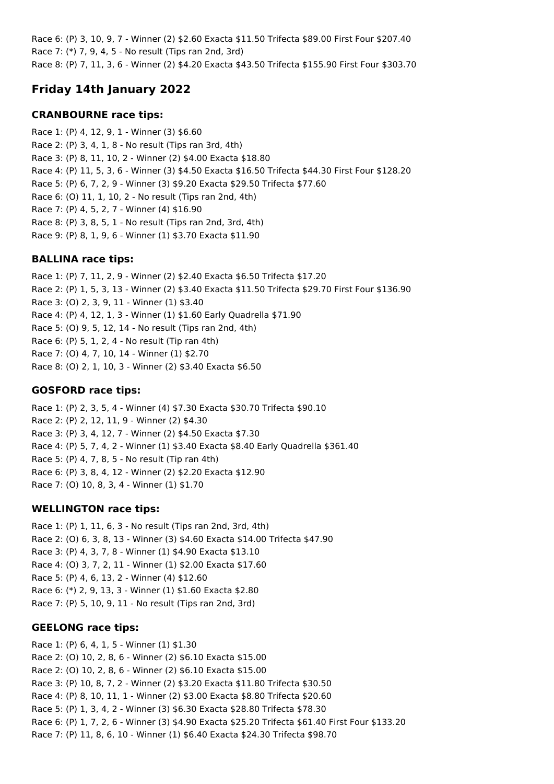Race 6: (P) 3, 10, 9, 7 - Winner (2) \$2.60 Exacta \$11.50 Trifecta \$89.00 First Four \$207.40 Race 7: (\*) 7, 9, 4, 5 - No result (Tips ran 2nd, 3rd) Race 8: (P) 7, 11, 3, 6 - Winner (2) \$4.20 Exacta \$43.50 Trifecta \$155.90 First Four \$303.70

# **Friday 14th January 2022**

## **CRANBOURNE race tips:**

Race 1: (P) 4, 12, 9, 1 - Winner (3) \$6.60 Race 2: (P) 3, 4, 1, 8 - No result (Tips ran 3rd, 4th) Race 3: (P) 8, 11, 10, 2 - Winner (2) \$4.00 Exacta \$18.80 Race 4: (P) 11, 5, 3, 6 - Winner (3) \$4.50 Exacta \$16.50 Trifecta \$44.30 First Four \$128.20 Race 5: (P) 6, 7, 2, 9 - Winner (3) \$9.20 Exacta \$29.50 Trifecta \$77.60 Race 6: (O) 11, 1, 10, 2 - No result (Tips ran 2nd, 4th) Race 7: (P) 4, 5, 2, 7 - Winner (4) \$16.90 Race 8: (P) 3, 8, 5, 1 - No result (Tips ran 2nd, 3rd, 4th) Race 9: (P) 8, 1, 9, 6 - Winner (1) \$3.70 Exacta \$11.90

# **BALLINA race tips:**

Race 1: (P) 7, 11, 2, 9 - Winner (2) \$2.40 Exacta \$6.50 Trifecta \$17.20 Race 2: (P) 1, 5, 3, 13 - Winner (2) \$3.40 Exacta \$11.50 Trifecta \$29.70 First Four \$136.90 Race 3: (O) 2, 3, 9, 11 - Winner (1) \$3.40 Race 4: (P) 4, 12, 1, 3 - Winner (1) \$1.60 Early Quadrella \$71.90 Race 5: (O) 9, 5, 12, 14 - No result (Tips ran 2nd, 4th) Race 6: (P) 5, 1, 2, 4 - No result (Tip ran 4th) Race 7: (O) 4, 7, 10, 14 - Winner (1) \$2.70 Race 8: (O) 2, 1, 10, 3 - Winner (2) \$3.40 Exacta \$6.50

## **GOSFORD race tips:**

Race 1: (P) 2, 3, 5, 4 - Winner (4) \$7.30 Exacta \$30.70 Trifecta \$90.10 Race 2: (P) 2, 12, 11, 9 - Winner (2) \$4.30 Race 3: (P) 3, 4, 12, 7 - Winner (2) \$4.50 Exacta \$7.30 Race 4: (P) 5, 7, 4, 2 - Winner (1) \$3.40 Exacta \$8.40 Early Quadrella \$361.40 Race 5: (P) 4, 7, 8, 5 - No result (Tip ran 4th) Race 6: (P) 3, 8, 4, 12 - Winner (2) \$2.20 Exacta \$12.90 Race 7: (O) 10, 8, 3, 4 - Winner (1) \$1.70

# **WELLINGTON race tips:**

Race 1: (P) 1, 11, 6, 3 - No result (Tips ran 2nd, 3rd, 4th) Race 2: (O) 6, 3, 8, 13 - Winner (3) \$4.60 Exacta \$14.00 Trifecta \$47.90 Race 3: (P) 4, 3, 7, 8 - Winner (1) \$4.90 Exacta \$13.10 Race 4: (O) 3, 7, 2, 11 - Winner (1) \$2.00 Exacta \$17.60 Race 5: (P) 4, 6, 13, 2 - Winner (4) \$12.60 Race 6: (\*) 2, 9, 13, 3 - Winner (1) \$1.60 Exacta \$2.80 Race 7: (P) 5, 10, 9, 11 - No result (Tips ran 2nd, 3rd)

# **GEELONG race tips:**

Race 1: (P) 6, 4, 1, 5 - Winner (1) \$1.30 Race 2: (O) 10, 2, 8, 6 - Winner (2) \$6.10 Exacta \$15.00 Race 2: (O) 10, 2, 8, 6 - Winner (2) \$6.10 Exacta \$15.00 Race 3: (P) 10, 8, 7, 2 - Winner (2) \$3.20 Exacta \$11.80 Trifecta \$30.50 Race 4: (P) 8, 10, 11, 1 - Winner (2) \$3.00 Exacta \$8.80 Trifecta \$20.60 Race 5: (P) 1, 3, 4, 2 - Winner (3) \$6.30 Exacta \$28.80 Trifecta \$78.30 Race 6: (P) 1, 7, 2, 6 - Winner (3) \$4.90 Exacta \$25.20 Trifecta \$61.40 First Four \$133.20 Race 7: (P) 11, 8, 6, 10 - Winner (1) \$6.40 Exacta \$24.30 Trifecta \$98.70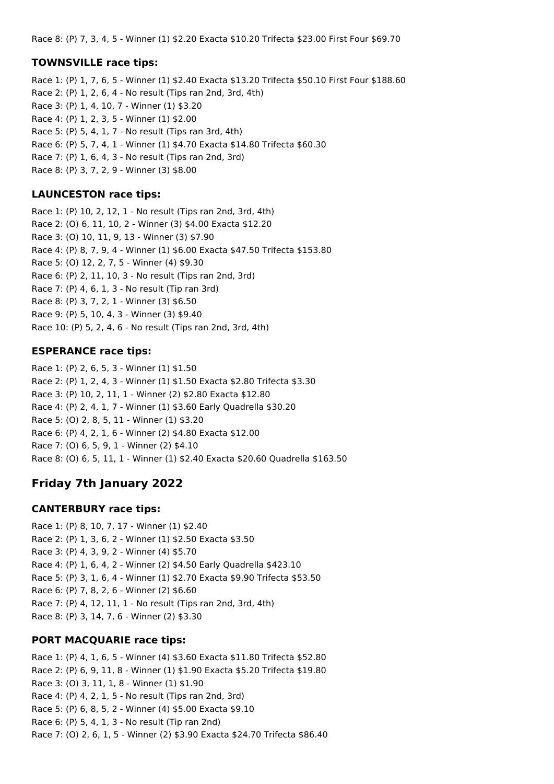Race 8: (P) 7, 3, 4, 5 - Winner (1) \$2.20 Exacta \$10.20 Trifecta \$23.00 First Four \$69.70

### **TOWNSVILLE race tips:**

Race 1: (P) 1, 7, 6, 5 - Winner (1) \$2.40 Exacta \$13.20 Trifecta \$50.10 First Four \$188.60 Race 2: (P) 1, 2, 6, 4 - No result (Tips ran 2nd, 3rd, 4th) Race 3: (P) 1, 4, 10, 7 - Winner (1) \$3.20 Race 4: (P) 1, 2, 3, 5 - Winner (1) \$2.00 Race 5: (P) 5, 4, 1, 7 - No result (Tips ran 3rd, 4th) Race 6: (P) 5, 7, 4, 1 - Winner (1) \$4.70 Exacta \$14.80 Trifecta \$60.30 Race 7: (P) 1, 6, 4, 3 - No result (Tips ran 2nd, 3rd) Race 8: (P) 3, 7, 2, 9 - Winner (3) \$8.00

### **LAUNCESTON race tips:**

Race 1: (P) 10, 2, 12, 1 - No result (Tips ran 2nd, 3rd, 4th) Race 2: (O) 6, 11, 10, 2 - Winner (3) \$4.00 Exacta \$12.20 Race 3: (O) 10, 11, 9, 13 - Winner (3) \$7.90 Race 4: (P) 8, 7, 9, 4 - Winner (1) \$6.00 Exacta \$47.50 Trifecta \$153.80 Race 5: (O) 12, 2, 7, 5 - Winner (4) \$9.30 Race 6: (P) 2, 11, 10, 3 - No result (Tips ran 2nd, 3rd) Race 7: (P) 4, 6, 1, 3 - No result (Tip ran 3rd) Race 8: (P) 3, 7, 2, 1 - Winner (3) \$6.50 Race 9: (P) 5, 10, 4, 3 - Winner (3) \$9.40 Race 10: (P) 5, 2, 4, 6 - No result (Tips ran 2nd, 3rd, 4th)

### **ESPERANCE race tips:**

Race 1: (P) 2, 6, 5, 3 - Winner (1) \$1.50 Race 2: (P) 1, 2, 4, 3 - Winner (1) \$1.50 Exacta \$2.80 Trifecta \$3.30 Race 3: (P) 10, 2, 11, 1 - Winner (2) \$2.80 Exacta \$12.80 Race 4: (P) 2, 4, 1, 7 - Winner (1) \$3.60 Early Quadrella \$30.20 Race 5: (O) 2, 8, 5, 11 - Winner (1) \$3.20 Race 6: (P) 4, 2, 1, 6 - Winner (2) \$4.80 Exacta \$12.00 Race 7: (O) 6, 5, 9, 1 - Winner (2) \$4.10 Race 8: (O) 6, 5, 11, 1 - Winner (1) \$2.40 Exacta \$20.60 Quadrella \$163.50

# **Friday 7th January 2022**

### **CANTERBURY race tips:**

Race 1: (P) 8, 10, 7, 17 - Winner (1) \$2.40 Race 2: (P) 1, 3, 6, 2 - Winner (1) \$2.50 Exacta \$3.50 Race 3: (P) 4, 3, 9, 2 - Winner (4) \$5.70 Race 4: (P) 1, 6, 4, 2 - Winner (2) \$4.50 Early Quadrella \$423.10 Race 5: (P) 3, 1, 6, 4 - Winner (1) \$2.70 Exacta \$9.90 Trifecta \$53.50 Race 6: (P) 7, 8, 2, 6 - Winner (2) \$6.60 Race 7: (P) 4, 12, 11, 1 - No result (Tips ran 2nd, 3rd, 4th) Race 8: (P) 3, 14, 7, 6 - Winner (2) \$3.30

## **PORT MACQUARIE race tips:**

Race 1: (P) 4, 1, 6, 5 - Winner (4) \$3.60 Exacta \$11.80 Trifecta \$52.80 Race 2: (P) 6, 9, 11, 8 - Winner (1) \$1.90 Exacta \$5.20 Trifecta \$19.80 Race 3: (O) 3, 11, 1, 8 - Winner (1) \$1.90 Race 4: (P) 4, 2, 1, 5 - No result (Tips ran 2nd, 3rd) Race 5: (P) 6, 8, 5, 2 - Winner (4) \$5.00 Exacta \$9.10 Race 6: (P) 5, 4, 1, 3 - No result (Tip ran 2nd) Race 7: (O) 2, 6, 1, 5 - Winner (2) \$3.90 Exacta \$24.70 Trifecta \$86.40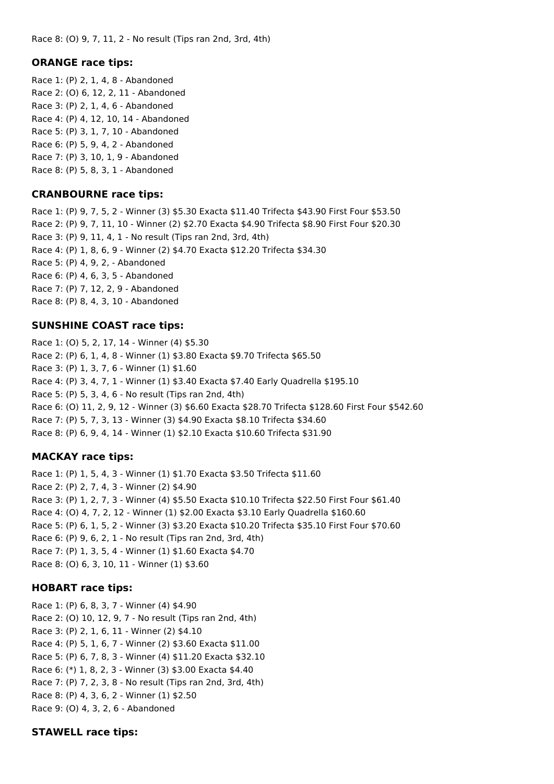Race 8: (O) 9, 7, 11, 2 - No result (Tips ran 2nd, 3rd, 4th)

### **ORANGE race tips:**

Race 1: (P) 2, 1, 4, 8 - Abandoned Race 2: (O) 6, 12, 2, 11 - Abandoned Race 3: (P) 2, 1, 4, 6 - Abandoned Race 4: (P) 4, 12, 10, 14 - Abandoned Race 5: (P) 3, 1, 7, 10 - Abandoned Race 6: (P) 5, 9, 4, 2 - Abandoned Race 7: (P) 3, 10, 1, 9 - Abandoned Race 8: (P) 5, 8, 3, 1 - Abandoned

### **CRANBOURNE race tips:**

Race 1: (P) 9, 7, 5, 2 - Winner (3) \$5.30 Exacta \$11.40 Trifecta \$43.90 First Four \$53.50 Race 2: (P) 9, 7, 11, 10 - Winner (2) \$2.70 Exacta \$4.90 Trifecta \$8.90 First Four \$20.30 Race 3: (P) 9, 11, 4, 1 - No result (Tips ran 2nd, 3rd, 4th) Race 4: (P) 1, 8, 6, 9 - Winner (2) \$4.70 Exacta \$12.20 Trifecta \$34.30 Race 5: (P) 4, 9, 2, - Abandoned Race 6: (P) 4, 6, 3, 5 - Abandoned Race 7: (P) 7, 12, 2, 9 - Abandoned Race 8: (P) 8, 4, 3, 10 - Abandoned

### **SUNSHINE COAST race tips:**

Race 1: (O) 5, 2, 17, 14 - Winner (4) \$5.30 Race 2: (P) 6, 1, 4, 8 - Winner (1) \$3.80 Exacta \$9.70 Trifecta \$65.50 Race 3: (P) 1, 3, 7, 6 - Winner (1) \$1.60 Race 4: (P) 3, 4, 7, 1 - Winner (1) \$3.40 Exacta \$7.40 Early Quadrella \$195.10 Race 5: (P) 5, 3, 4, 6 - No result (Tips ran 2nd, 4th) Race 6: (O) 11, 2, 9, 12 - Winner (3) \$6.60 Exacta \$28.70 Trifecta \$128.60 First Four \$542.60 Race 7: (P) 5, 7, 3, 13 - Winner (3) \$4.90 Exacta \$8.10 Trifecta \$34.60 Race 8: (P) 6, 9, 4, 14 - Winner (1) \$2.10 Exacta \$10.60 Trifecta \$31.90

## **MACKAY race tips:**

Race 1: (P) 1, 5, 4, 3 - Winner (1) \$1.70 Exacta \$3.50 Trifecta \$11.60 Race 2: (P) 2, 7, 4, 3 - Winner (2) \$4.90 Race 3: (P) 1, 2, 7, 3 - Winner (4) \$5.50 Exacta \$10.10 Trifecta \$22.50 First Four \$61.40 Race 4: (O) 4, 7, 2, 12 - Winner (1) \$2.00 Exacta \$3.10 Early Quadrella \$160.60 Race 5: (P) 6, 1, 5, 2 - Winner (3) \$3.20 Exacta \$10.20 Trifecta \$35.10 First Four \$70.60 Race 6: (P) 9, 6, 2, 1 - No result (Tips ran 2nd, 3rd, 4th) Race 7: (P) 1, 3, 5, 4 - Winner (1) \$1.60 Exacta \$4.70 Race 8: (O) 6, 3, 10, 11 - Winner (1) \$3.60

### **HOBART race tips:**

Race 1: (P) 6, 8, 3, 7 - Winner (4) \$4.90 Race 2: (O) 10, 12, 9, 7 - No result (Tips ran 2nd, 4th) Race 3: (P) 2, 1, 6, 11 - Winner (2) \$4.10 Race 4: (P) 5, 1, 6, 7 - Winner (2) \$3.60 Exacta \$11.00 Race 5: (P) 6, 7, 8, 3 - Winner (4) \$11.20 Exacta \$32.10 Race 6: (\*) 1, 8, 2, 3 - Winner (3) \$3.00 Exacta \$4.40 Race 7: (P) 7, 2, 3, 8 - No result (Tips ran 2nd, 3rd, 4th) Race 8: (P) 4, 3, 6, 2 - Winner (1) \$2.50 Race 9: (O) 4, 3, 2, 6 - Abandoned

### **STAWELL race tips:**